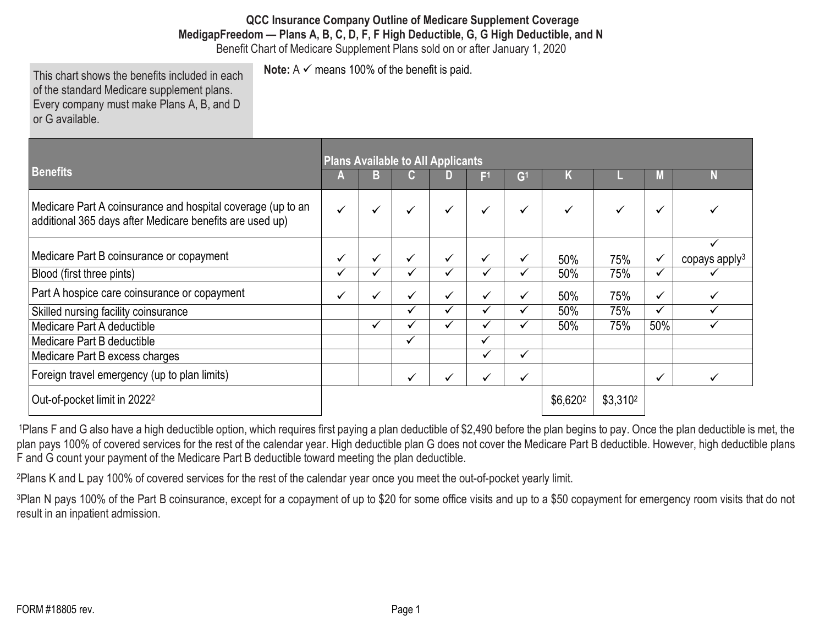**QCC Insurance Company Outline of Medicare Supplement Coverage MedigapFreedom — Plans A, B, C, D, F, F High Deductible, G, G High Deductible, and N**

Benefit Chart of Medicare Supplement Plans sold on or after January 1, 2020 **Note:**  $A \n\checkmark$  means 100% of the benefit is paid.

This chart shows the benefits included in each of the standard Medicare supplement plans. Every company must make Plans A, B, and D or G available.

**Benefits Plans Available to All Applicants A B C D F1 G1 K L M N** Medicare Part A coinsurance and hospital coverage (up to an additional 365 days after Medicare benefits are used up) **∀ | √ | √ | √ | √ | √ | √ | √ |** √ Medicare Part B coinsurance or copayment 50% 75%  $\checkmark$ copays apply3 Blood (first three pints) 50% 75% Part A hospice care coinsurance or copayment  $\vert \vee \vert \vee \vert \vee \vert \vee \vert \vee \vert \vee \vert \vee \vert$  50%  $\vert$  75%  $\vert \vee \vert \vee \vert$ Skilled nursing facility coinsurance 50% 75% Medicare Part A deductible  $\hspace{1cm} \vert \hspace{1cm} \vert \hspace{1cm} \vert \hspace{1cm} \vert \hspace{1cm} \vert \hspace{1cm} \vert \hspace{1cm} \vert \hspace{1cm} \vert \hspace{1cm} \vert \hspace{1cm} \vert \hspace{1cm} \vert \hspace{1cm} \vert \hspace{1cm} \vert \hspace{1cm} \vert \hspace{1cm} \vert \hspace{1cm} \vert \hspace{1cm} \vert \hspace{1cm} \vert \hspace{1cm} \vert \hspace{1cm} \vert \hspace{1cm} \vert \hspace{$ Medicare Part B deductible Medicare Part B excess charges Foreign travel emergency (up to plan limits)  $\vert$  Out-of-pocket limit in 2022<sup>2</sup>  $\vert$  \$3.310<sup>2</sup>

<sup>1</sup>Plans F and G also have a high deductible option, which requires first paying a plan deductible of \$2,490 before the plan begins to pay. Once the plan deductible is met, the plan pays 100% of covered services for the rest of the calendar year. High deductible plan G does not cover the Medicare Part B deductible. However, high deductible plans F and G count your payment of the Medicare Part B deductible toward meeting the plan deductible.

2Plans K and L pay 100% of covered services for the rest of the calendar year once you meet the out-of-pocket yearly limit.

<sup>3</sup>Plan N pays 100% of the Part B coinsurance, except for a copayment of up to \$20 for some office visits and up to a \$50 copayment for emergency room visits that do not result in an inpatient admission.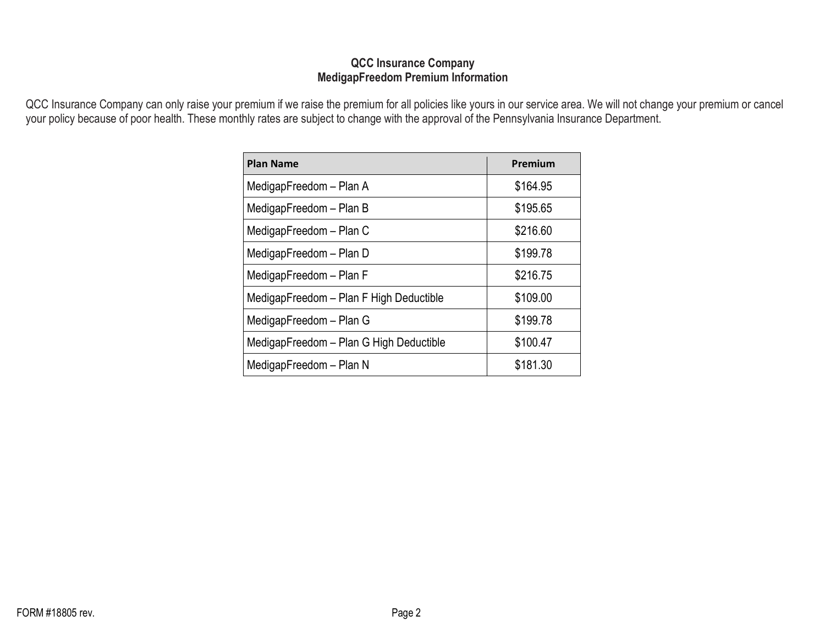#### **QCC Insurance Company MedigapFreedom Premium Information**

QCC Insurance Company can only raise your premium if we raise the premium for all policies like yours in our service area. We will not change your premium or cancel your policy because of poor health. These monthly rates are subject to change with the approval of the Pennsylvania Insurance Department.

| <b>Plan Name</b>                        | Premium  |
|-----------------------------------------|----------|
| MedigapFreedom - Plan A                 | \$164.95 |
| MedigapFreedom - Plan B                 | \$195.65 |
| MedigapFreedom - Plan C                 | \$216.60 |
| MedigapFreedom - Plan D                 | \$199.78 |
| MedigapFreedom - Plan F                 | \$216.75 |
| MedigapFreedom - Plan F High Deductible | \$109.00 |
| MedigapFreedom - Plan G                 | \$199.78 |
| MedigapFreedom - Plan G High Deductible | \$100.47 |
| MedigapFreedom - Plan N                 | \$181.30 |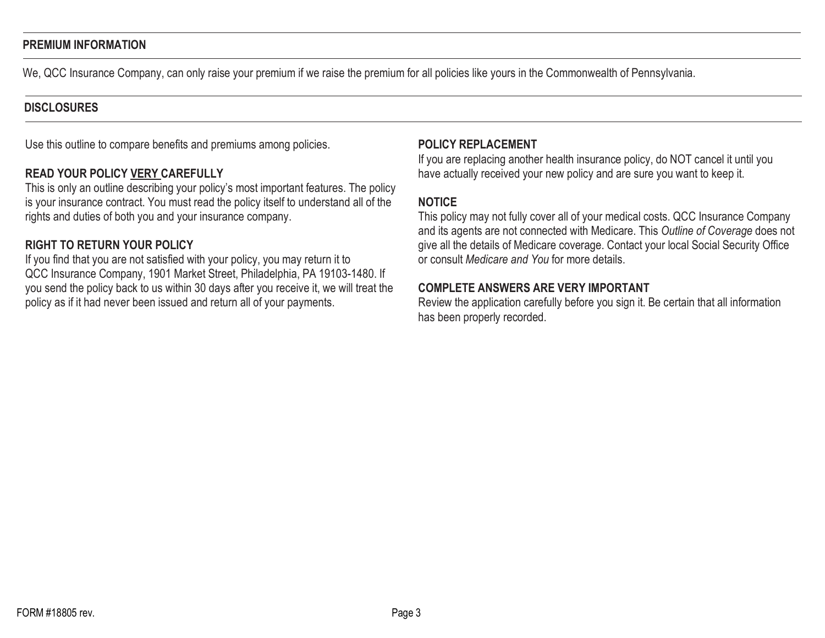#### **PREMIUM INFORMATION**

We, QCC Insurance Company, can only raise your premium if we raise the premium for all policies like yours in the Commonwealth of Pennsylvania.

#### **DISCLOSURES**

Use this outline to compare benefits and premiums among policies.

#### **READ YOUR POLICY VERY CAREFULLY**

This is only an outline describing your policy's most important features. The policy is your insurance contract. You must read the policy itself to understand all of the rights and duties of both you and your insurance company.

## **RIGHT TO RETURN YOUR POLICY**

If you find that you are not satisfied with your policy, you may return it to QCC Insurance Company, 1901 Market Street, Philadelphia, PA 19103-1480. If you send the policy back to us within 30 days after you receive it, we will treat the policy as if it had never been issued and return all of your payments.

#### **POLICY REPLACEMENT**

If you are replacing another health insurance policy, do NOT cancel it until you have actually received your new policy and are sure you want to keep it.

## **NOTICE**

This policy may not fully cover all of your medical costs. QCC Insurance Company and its agents are not connected with Medicare. This *Outline of Coverage* does not give all the details of Medicare coverage. Contact your local Social Security Office or consult *Medicare and You* for more details.

#### **COMPLETE ANSWERS ARE VERY IMPORTANT**

Review the application carefully before you sign it. Be certain that all information has been properly recorded.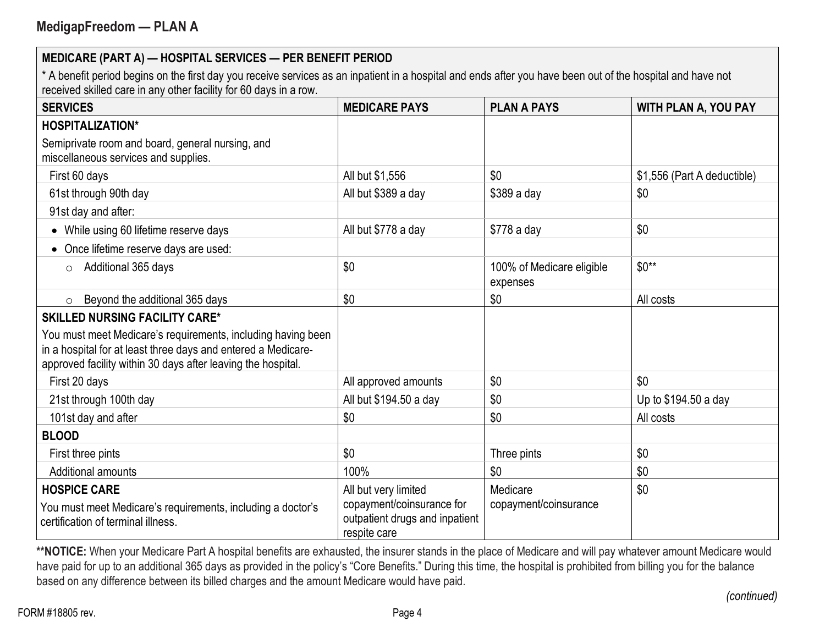\* A benefit period begins on the first day you receive services as an inpatient in a hospital and ends after you have been out of the hospital and have not received skilled care in any other facility for 60 days in a row.

| <b>SERVICES</b>                                                                                                                                                                               | <b>MEDICARE PAYS</b>                                                                                | <b>PLAN A PAYS</b>                    | <b>WITH PLAN A, YOU PAY</b> |
|-----------------------------------------------------------------------------------------------------------------------------------------------------------------------------------------------|-----------------------------------------------------------------------------------------------------|---------------------------------------|-----------------------------|
| <b>HOSPITALIZATION*</b>                                                                                                                                                                       |                                                                                                     |                                       |                             |
| Semiprivate room and board, general nursing, and<br>miscellaneous services and supplies.                                                                                                      |                                                                                                     |                                       |                             |
| First 60 days                                                                                                                                                                                 | All but \$1,556                                                                                     | \$0                                   | \$1,556 (Part A deductible) |
| 61st through 90th day                                                                                                                                                                         | All but \$389 a day                                                                                 | \$389 a day                           | \$0                         |
| 91st day and after:                                                                                                                                                                           |                                                                                                     |                                       |                             |
| While using 60 lifetime reserve days<br>$\bullet$                                                                                                                                             | All but \$778 a day                                                                                 | \$778 a day                           | \$0                         |
| Once lifetime reserve days are used:                                                                                                                                                          |                                                                                                     |                                       |                             |
| Additional 365 days<br>$\circ$                                                                                                                                                                | \$0                                                                                                 | 100% of Medicare eligible<br>expenses | $$0**$                      |
| Beyond the additional 365 days<br>$\circ$                                                                                                                                                     | \$0                                                                                                 | \$0                                   | All costs                   |
| <b>SKILLED NURSING FACILITY CARE*</b>                                                                                                                                                         |                                                                                                     |                                       |                             |
| You must meet Medicare's requirements, including having been<br>in a hospital for at least three days and entered a Medicare-<br>approved facility within 30 days after leaving the hospital. |                                                                                                     |                                       |                             |
| First 20 days                                                                                                                                                                                 | All approved amounts                                                                                | \$0                                   | \$0                         |
| 21st through 100th day                                                                                                                                                                        | All but \$194.50 a day                                                                              | \$0                                   | Up to \$194.50 a day        |
| 101st day and after                                                                                                                                                                           | \$0                                                                                                 | \$0                                   | All costs                   |
| <b>BLOOD</b>                                                                                                                                                                                  |                                                                                                     |                                       |                             |
| First three pints                                                                                                                                                                             | \$0                                                                                                 | Three pints                           | \$0                         |
| Additional amounts                                                                                                                                                                            | 100%                                                                                                | \$0                                   | \$0                         |
| <b>HOSPICE CARE</b><br>You must meet Medicare's requirements, including a doctor's<br>certification of terminal illness.                                                                      | All but very limited<br>copayment/coinsurance for<br>outpatient drugs and inpatient<br>respite care | Medicare<br>copayment/coinsurance     | \$0                         |

\*\*NOTICE: When your Medicare Part A hospital benefits are exhausted, the insurer stands in the place of Medicare and will pay whatever amount Medicare would have paid for up to an additional 365 days as provided in the policy's "Core Benefits." During this time, the hospital is prohibited from billing you for the balance based on any difference between its billed charges and the amount Medicare would have paid.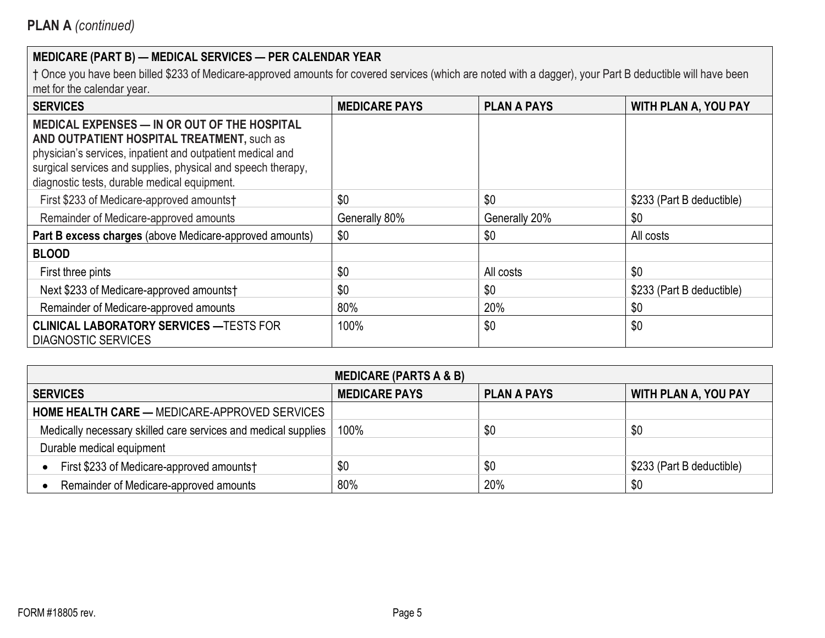| <b>SERVICES</b>                                                                                                                                                                                                                                                                 | <b>MEDICARE PAYS</b> | <b>PLAN A PAYS</b> | <b>WITH PLAN A, YOU PAY</b> |
|---------------------------------------------------------------------------------------------------------------------------------------------------------------------------------------------------------------------------------------------------------------------------------|----------------------|--------------------|-----------------------------|
| <b>MEDICAL EXPENSES - IN OR OUT OF THE HOSPITAL</b><br>AND OUTPATIENT HOSPITAL TREATMENT, such as<br>physician's services, inpatient and outpatient medical and<br>surgical services and supplies, physical and speech therapy,<br>diagnostic tests, durable medical equipment. |                      |                    |                             |
| First \$233 of Medicare-approved amounts†                                                                                                                                                                                                                                       | \$0                  | \$0                | \$233 (Part B deductible)   |
| Remainder of Medicare-approved amounts                                                                                                                                                                                                                                          | Generally 80%        | Generally 20%      | \$0                         |
| Part B excess charges (above Medicare-approved amounts)                                                                                                                                                                                                                         | \$0                  | \$0                | All costs                   |
| <b>BLOOD</b>                                                                                                                                                                                                                                                                    |                      |                    |                             |
| First three pints                                                                                                                                                                                                                                                               | \$0                  | All costs          | \$0                         |
| Next \$233 of Medicare-approved amounts†                                                                                                                                                                                                                                        | \$0                  | \$0                | \$233 (Part B deductible)   |
| Remainder of Medicare-approved amounts                                                                                                                                                                                                                                          | 80%                  | 20%                | \$0                         |
| <b>CLINICAL LABORATORY SERVICES - TESTS FOR</b><br><b>DIAGNOSTIC SERVICES</b>                                                                                                                                                                                                   | 100%                 | \$0                | \$0                         |

| <b>MEDICARE (PARTS A &amp; B)</b>                              |                      |                    |                             |
|----------------------------------------------------------------|----------------------|--------------------|-----------------------------|
| <b>SERVICES</b>                                                | <b>MEDICARE PAYS</b> | <b>PLAN A PAYS</b> | <b>WITH PLAN A, YOU PAY</b> |
| <b>HOME HEALTH CARE — MEDICARE-APPROVED SERVICES</b>           |                      |                    |                             |
| Medically necessary skilled care services and medical supplies | 100%                 | \$0                | \$0                         |
| Durable medical equipment                                      |                      |                    |                             |
| First \$233 of Medicare-approved amounts†                      | \$0                  | \$0                | \$233 (Part B deductible)   |
| Remainder of Medicare-approved amounts                         | 80%                  | 20%                | \$0                         |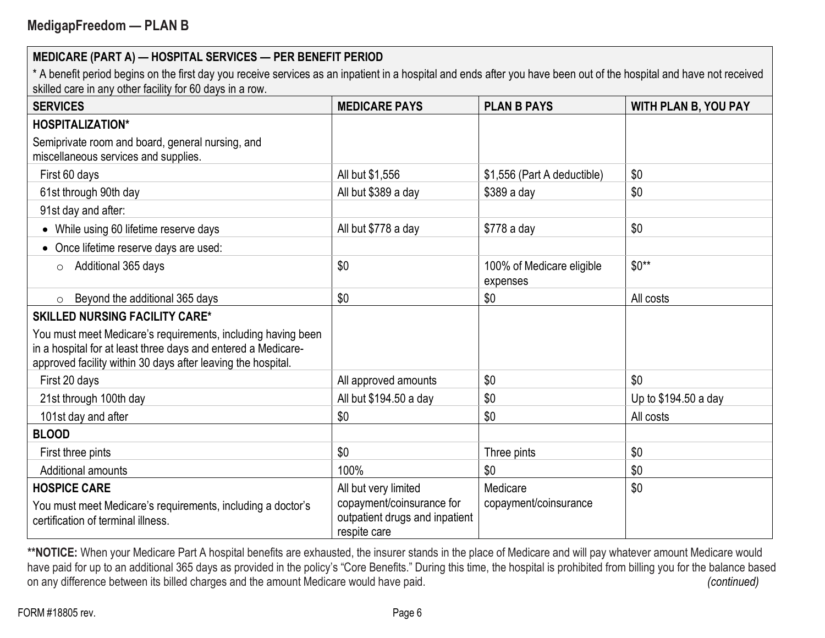\* A benefit period begins on the first day you receive services as an inpatient in a hospital and ends after you have been out of the hospital and have not received skilled care in any other facility for 60 days in a row.

| <b>SERVICES</b>                                                                                                                                                                               | <b>MEDICARE PAYS</b>                                                                                | <b>PLAN B PAYS</b>                    | <b>WITH PLAN B, YOU PAY</b> |
|-----------------------------------------------------------------------------------------------------------------------------------------------------------------------------------------------|-----------------------------------------------------------------------------------------------------|---------------------------------------|-----------------------------|
| <b>HOSPITALIZATION*</b>                                                                                                                                                                       |                                                                                                     |                                       |                             |
| Semiprivate room and board, general nursing, and<br>miscellaneous services and supplies.                                                                                                      |                                                                                                     |                                       |                             |
| First 60 days                                                                                                                                                                                 | All but \$1,556                                                                                     | \$1,556 (Part A deductible)           | \$0                         |
| 61st through 90th day                                                                                                                                                                         | All but \$389 a day                                                                                 | \$389 a day                           | \$0                         |
| 91st day and after:                                                                                                                                                                           |                                                                                                     |                                       |                             |
| While using 60 lifetime reserve days                                                                                                                                                          | All but \$778 a day                                                                                 | \$778 a day                           | \$0                         |
| Once lifetime reserve days are used:                                                                                                                                                          |                                                                                                     |                                       |                             |
| Additional 365 days<br>$\circ$                                                                                                                                                                | \$0                                                                                                 | 100% of Medicare eligible<br>expenses | $$0**$                      |
| Beyond the additional 365 days<br>$\circ$                                                                                                                                                     | \$0                                                                                                 | \$0                                   | All costs                   |
| <b>SKILLED NURSING FACILITY CARE*</b>                                                                                                                                                         |                                                                                                     |                                       |                             |
| You must meet Medicare's requirements, including having been<br>in a hospital for at least three days and entered a Medicare-<br>approved facility within 30 days after leaving the hospital. |                                                                                                     |                                       |                             |
| First 20 days                                                                                                                                                                                 | All approved amounts                                                                                | \$0                                   | \$0                         |
| 21st through 100th day                                                                                                                                                                        | All but \$194.50 a day                                                                              | \$0                                   | Up to \$194.50 a day        |
| 101st day and after                                                                                                                                                                           | \$0                                                                                                 | \$0                                   | All costs                   |
| <b>BLOOD</b>                                                                                                                                                                                  |                                                                                                     |                                       |                             |
| First three pints                                                                                                                                                                             | \$0                                                                                                 | Three pints                           | \$0                         |
| <b>Additional amounts</b>                                                                                                                                                                     | 100%                                                                                                | \$0                                   | \$0                         |
| <b>HOSPICE CARE</b><br>You must meet Medicare's requirements, including a doctor's<br>certification of terminal illness.                                                                      | All but very limited<br>copayment/coinsurance for<br>outpatient drugs and inpatient<br>respite care | Medicare<br>copayment/coinsurance     | \$0                         |

\*\*NOTICE: When your Medicare Part A hospital benefits are exhausted, the insurer stands in the place of Medicare and will pay whatever amount Medicare would have paid for up to an additional 365 days as provided in the policy's "Core Benefits." During this time, the hospital is prohibited from billing you for the balance based on any difference between its billed charges and the amount Medicare would have paid. *(continued)*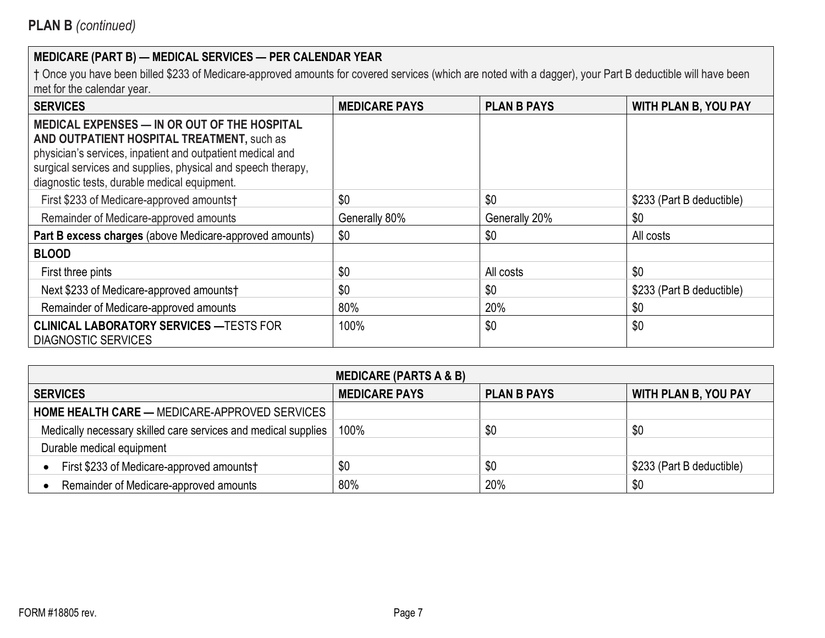| <b>SERVICES</b>                                                                                                                                                                                                                                                          | <b>MEDICARE PAYS</b> | <b>PLAN B PAYS</b> | <b>WITH PLAN B, YOU PAY</b> |
|--------------------------------------------------------------------------------------------------------------------------------------------------------------------------------------------------------------------------------------------------------------------------|----------------------|--------------------|-----------------------------|
| MEDICAL EXPENSES - IN OR OUT OF THE HOSPITAL<br>AND OUTPATIENT HOSPITAL TREATMENT, such as<br>physician's services, inpatient and outpatient medical and<br>surgical services and supplies, physical and speech therapy,<br>diagnostic tests, durable medical equipment. |                      |                    |                             |
| First \$233 of Medicare-approved amounts†                                                                                                                                                                                                                                | \$0                  | \$0                | \$233 (Part B deductible)   |
| Remainder of Medicare-approved amounts                                                                                                                                                                                                                                   | Generally 80%        | Generally 20%      | \$0                         |
| Part B excess charges (above Medicare-approved amounts)                                                                                                                                                                                                                  | \$0                  | \$0                | All costs                   |
| <b>BLOOD</b>                                                                                                                                                                                                                                                             |                      |                    |                             |
| First three pints                                                                                                                                                                                                                                                        | \$0                  | All costs          | \$0                         |
| Next \$233 of Medicare-approved amounts†                                                                                                                                                                                                                                 | \$0                  | \$0                | \$233 (Part B deductible)   |
| Remainder of Medicare-approved amounts                                                                                                                                                                                                                                   | 80%                  | 20%                | \$0                         |
| <b>CLINICAL LABORATORY SERVICES — TESTS FOR</b><br><b>DIAGNOSTIC SERVICES</b>                                                                                                                                                                                            | 100%                 | \$0                | \$0                         |

| <b>MEDICARE (PARTS A &amp; B)</b>                              |                      |                    |                             |
|----------------------------------------------------------------|----------------------|--------------------|-----------------------------|
| <b>SERVICES</b>                                                | <b>MEDICARE PAYS</b> | <b>PLAN B PAYS</b> | <b>WITH PLAN B, YOU PAY</b> |
| <b>HOME HEALTH CARE — MEDICARE-APPROVED SERVICES</b>           |                      |                    |                             |
| Medically necessary skilled care services and medical supplies | 100%                 | \$0                | \$0                         |
| Durable medical equipment                                      |                      |                    |                             |
| First \$233 of Medicare-approved amounts†                      | \$0                  | \$0                | \$233 (Part B deductible)   |
| Remainder of Medicare-approved amounts                         | 80%                  | 20%                | \$0                         |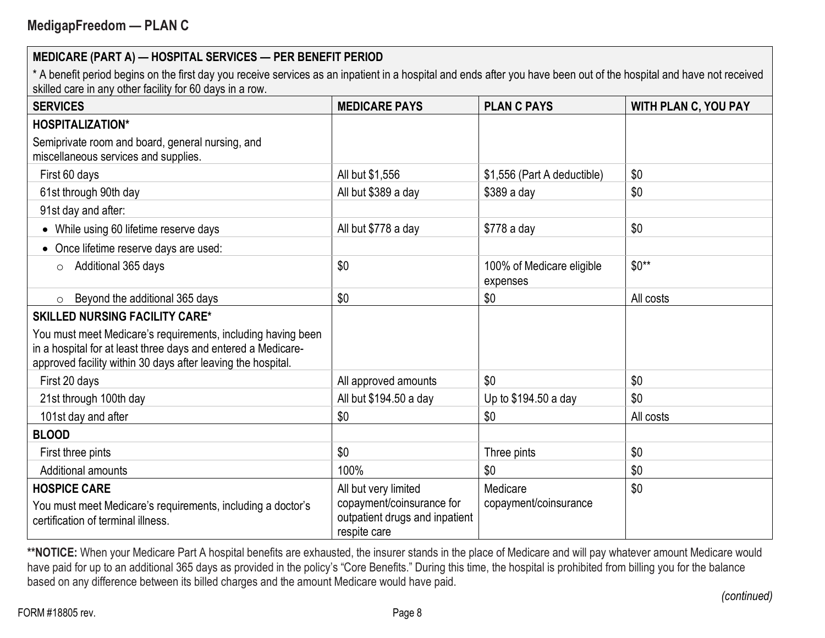\* A benefit period begins on the first day you receive services as an inpatient in a hospital and ends after you have been out of the hospital and have not received skilled care in any other facility for 60 days in a row.

| <b>SERVICES</b>                                                                                                                                                                               | <b>MEDICARE PAYS</b>                                                                                | <b>PLAN C PAYS</b>                    | <b>WITH PLAN C, YOU PAY</b> |
|-----------------------------------------------------------------------------------------------------------------------------------------------------------------------------------------------|-----------------------------------------------------------------------------------------------------|---------------------------------------|-----------------------------|
| <b>HOSPITALIZATION*</b>                                                                                                                                                                       |                                                                                                     |                                       |                             |
| Semiprivate room and board, general nursing, and<br>miscellaneous services and supplies.                                                                                                      |                                                                                                     |                                       |                             |
| First 60 days                                                                                                                                                                                 | All but \$1,556                                                                                     | \$1,556 (Part A deductible)           | \$0                         |
| 61st through 90th day                                                                                                                                                                         | All but \$389 a day                                                                                 | $$389a$ day                           | \$0                         |
| 91st day and after:                                                                                                                                                                           |                                                                                                     |                                       |                             |
| While using 60 lifetime reserve days                                                                                                                                                          | All but \$778 a day                                                                                 | \$778 a day                           | \$0                         |
| Once lifetime reserve days are used:                                                                                                                                                          |                                                                                                     |                                       |                             |
| Additional 365 days<br>$\circ$                                                                                                                                                                | \$0                                                                                                 | 100% of Medicare eligible<br>expenses | $$0**$                      |
| Beyond the additional 365 days<br>$\circ$                                                                                                                                                     | \$0                                                                                                 | \$0                                   | All costs                   |
| <b>SKILLED NURSING FACILITY CARE*</b>                                                                                                                                                         |                                                                                                     |                                       |                             |
| You must meet Medicare's requirements, including having been<br>in a hospital for at least three days and entered a Medicare-<br>approved facility within 30 days after leaving the hospital. |                                                                                                     |                                       |                             |
| First 20 days                                                                                                                                                                                 | All approved amounts                                                                                | \$0                                   | \$0                         |
| 21st through 100th day                                                                                                                                                                        | All but \$194.50 a day                                                                              | Up to \$194.50 a day                  | \$0                         |
| 101st day and after                                                                                                                                                                           | \$0                                                                                                 | \$0                                   | All costs                   |
| <b>BLOOD</b>                                                                                                                                                                                  |                                                                                                     |                                       |                             |
| First three pints                                                                                                                                                                             | \$0                                                                                                 | Three pints                           | \$0                         |
| <b>Additional amounts</b>                                                                                                                                                                     | 100%                                                                                                | \$0                                   | \$0                         |
| <b>HOSPICE CARE</b><br>You must meet Medicare's requirements, including a doctor's<br>certification of terminal illness.                                                                      | All but very limited<br>copayment/coinsurance for<br>outpatient drugs and inpatient<br>respite care | Medicare<br>copayment/coinsurance     | \$0                         |

\*\*NOTICE: When your Medicare Part A hospital benefits are exhausted, the insurer stands in the place of Medicare and will pay whatever amount Medicare would have paid for up to an additional 365 days as provided in the policy's "Core Benefits." During this time, the hospital is prohibited from billing you for the balance based on any difference between its billed charges and the amount Medicare would have paid.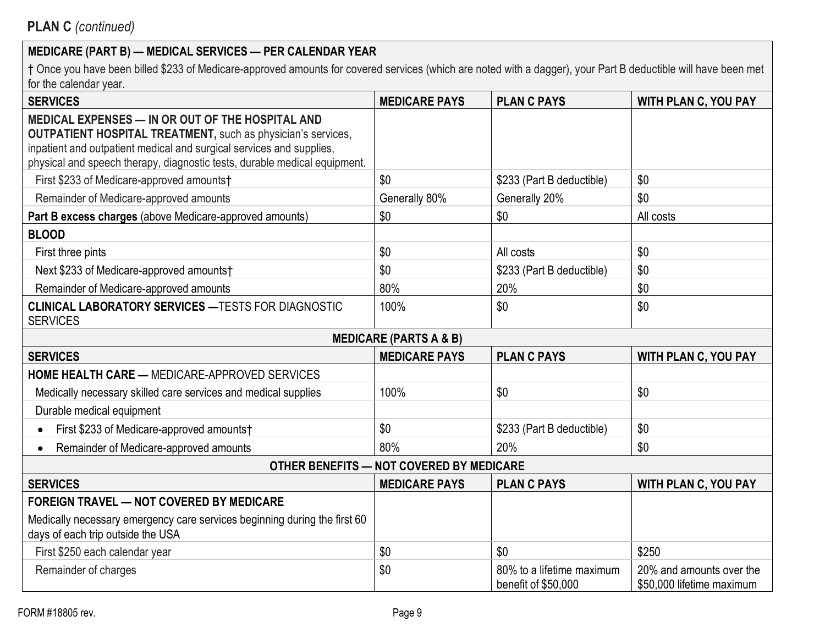| <b>SERVICES</b>                                                                                                                                                                                                                                                              | <b>MEDICARE PAYS</b>                     | <b>PLAN C PAYS</b>                               | <b>WITH PLAN C, YOU PAY</b>                           |
|------------------------------------------------------------------------------------------------------------------------------------------------------------------------------------------------------------------------------------------------------------------------------|------------------------------------------|--------------------------------------------------|-------------------------------------------------------|
| MEDICAL EXPENSES - IN OR OUT OF THE HOSPITAL AND<br><b>OUTPATIENT HOSPITAL TREATMENT, such as physician's services,</b><br>inpatient and outpatient medical and surgical services and supplies,<br>physical and speech therapy, diagnostic tests, durable medical equipment. |                                          |                                                  |                                                       |
| First \$233 of Medicare-approved amounts†                                                                                                                                                                                                                                    | \$0                                      | \$233 (Part B deductible)                        | \$0                                                   |
| Remainder of Medicare-approved amounts                                                                                                                                                                                                                                       | Generally 80%                            | Generally 20%                                    | \$0                                                   |
| Part B excess charges (above Medicare-approved amounts)                                                                                                                                                                                                                      | \$0                                      | \$0                                              | All costs                                             |
| <b>BLOOD</b>                                                                                                                                                                                                                                                                 |                                          |                                                  |                                                       |
| First three pints                                                                                                                                                                                                                                                            | \$0                                      | All costs                                        | \$0                                                   |
| Next \$233 of Medicare-approved amounts†                                                                                                                                                                                                                                     | \$0                                      | \$233 (Part B deductible)                        | \$0                                                   |
| Remainder of Medicare-approved amounts                                                                                                                                                                                                                                       | 80%                                      | 20%                                              | \$0                                                   |
| <b>CLINICAL LABORATORY SERVICES - TESTS FOR DIAGNOSTIC</b><br><b>SERVICES</b>                                                                                                                                                                                                | 100%                                     | \$0                                              | \$0                                                   |
|                                                                                                                                                                                                                                                                              | <b>MEDICARE (PARTS A &amp; B)</b>        |                                                  |                                                       |
| <b>SERVICES</b>                                                                                                                                                                                                                                                              | <b>MEDICARE PAYS</b>                     | <b>PLAN C PAYS</b>                               | <b>WITH PLAN C, YOU PAY</b>                           |
| <b>HOME HEALTH CARE - MEDICARE-APPROVED SERVICES</b>                                                                                                                                                                                                                         |                                          |                                                  |                                                       |
| Medically necessary skilled care services and medical supplies                                                                                                                                                                                                               | 100%                                     | \$0                                              | \$0                                                   |
| Durable medical equipment                                                                                                                                                                                                                                                    |                                          |                                                  |                                                       |
| First \$233 of Medicare-approved amounts†                                                                                                                                                                                                                                    | \$0                                      | \$233 (Part B deductible)                        | \$0                                                   |
| Remainder of Medicare-approved amounts                                                                                                                                                                                                                                       | 80%                                      | 20%                                              | \$0                                                   |
|                                                                                                                                                                                                                                                                              | OTHER BENEFITS - NOT COVERED BY MEDICARE |                                                  |                                                       |
| <b>SERVICES</b>                                                                                                                                                                                                                                                              | <b>MEDICARE PAYS</b>                     | <b>PLAN C PAYS</b>                               | <b>WITH PLAN C, YOU PAY</b>                           |
| <b>FOREIGN TRAVEL - NOT COVERED BY MEDICARE</b>                                                                                                                                                                                                                              |                                          |                                                  |                                                       |
| Medically necessary emergency care services beginning during the first 60<br>days of each trip outside the USA                                                                                                                                                               |                                          |                                                  |                                                       |
| First \$250 each calendar year                                                                                                                                                                                                                                               | \$0                                      | \$0                                              | \$250                                                 |
| Remainder of charges                                                                                                                                                                                                                                                         | \$0                                      | 80% to a lifetime maximum<br>benefit of \$50,000 | 20% and amounts over the<br>\$50,000 lifetime maximum |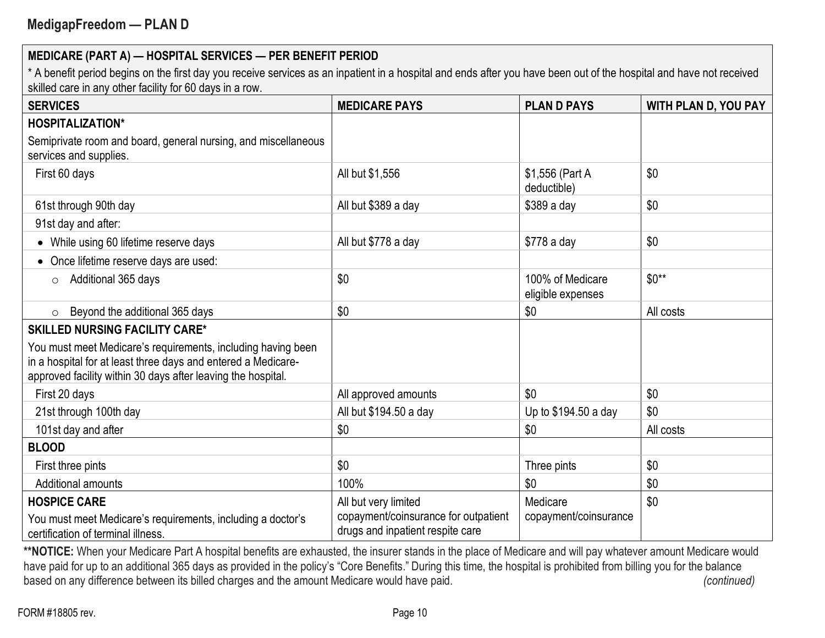\* A benefit period begins on the first day you receive services as an inpatient in a hospital and ends after you have been out of the hospital and have not received skilled care in any other facility for 60 days in a row.

| <b>SERVICES</b>                                                                                                                                                                               | <b>MEDICARE PAYS</b>                                                     | <b>PLAND PAYS</b>                     | <b>WITH PLAN D, YOU PAY</b> |
|-----------------------------------------------------------------------------------------------------------------------------------------------------------------------------------------------|--------------------------------------------------------------------------|---------------------------------------|-----------------------------|
| <b>HOSPITALIZATION*</b>                                                                                                                                                                       |                                                                          |                                       |                             |
| Semiprivate room and board, general nursing, and miscellaneous<br>services and supplies.                                                                                                      |                                                                          |                                       |                             |
| First 60 days                                                                                                                                                                                 | All but \$1,556                                                          | \$1,556 (Part A<br>deductible)        | \$0                         |
| 61st through 90th day                                                                                                                                                                         | All but \$389 a day                                                      | $$389a$ day                           | \$0                         |
| 91st day and after:                                                                                                                                                                           |                                                                          |                                       |                             |
| • While using 60 lifetime reserve days                                                                                                                                                        | All but \$778 a day                                                      | \$778 a day                           | \$0                         |
| Once lifetime reserve days are used:                                                                                                                                                          |                                                                          |                                       |                             |
| Additional 365 days<br>$\circ$                                                                                                                                                                | \$0                                                                      | 100% of Medicare<br>eligible expenses | $$0**$$                     |
| Beyond the additional 365 days<br>$\circ$                                                                                                                                                     | \$0                                                                      | \$0                                   | All costs                   |
| <b>SKILLED NURSING FACILITY CARE*</b>                                                                                                                                                         |                                                                          |                                       |                             |
| You must meet Medicare's requirements, including having been<br>in a hospital for at least three days and entered a Medicare-<br>approved facility within 30 days after leaving the hospital. |                                                                          |                                       |                             |
| First 20 days                                                                                                                                                                                 | All approved amounts                                                     | \$0                                   | \$0                         |
| 21st through 100th day                                                                                                                                                                        | All but \$194.50 a day                                                   | Up to \$194.50 a day                  | \$0                         |
| 101st day and after                                                                                                                                                                           | \$0                                                                      | \$0                                   | All costs                   |
| <b>BLOOD</b>                                                                                                                                                                                  |                                                                          |                                       |                             |
| First three pints                                                                                                                                                                             | \$0                                                                      | Three pints                           | \$0                         |
| Additional amounts                                                                                                                                                                            | 100%                                                                     | \$0                                   | \$0                         |
| <b>HOSPICE CARE</b>                                                                                                                                                                           | All but very limited                                                     | Medicare                              | \$0                         |
| You must meet Medicare's requirements, including a doctor's<br>certification of terminal illness.                                                                                             | copayment/coinsurance for outpatient<br>drugs and inpatient respite care | copayment/coinsurance                 |                             |

\*\*NOTICE: When your Medicare Part A hospital benefits are exhausted, the insurer stands in the place of Medicare and will pay whatever amount Medicare would have paid for up to an additional 365 days as provided in the policy's "Core Benefits." During this time, the hospital is prohibited from billing you for the balance based on any difference between its billed charges and the amount Medicare would have paid. (*continued)* (*continued*)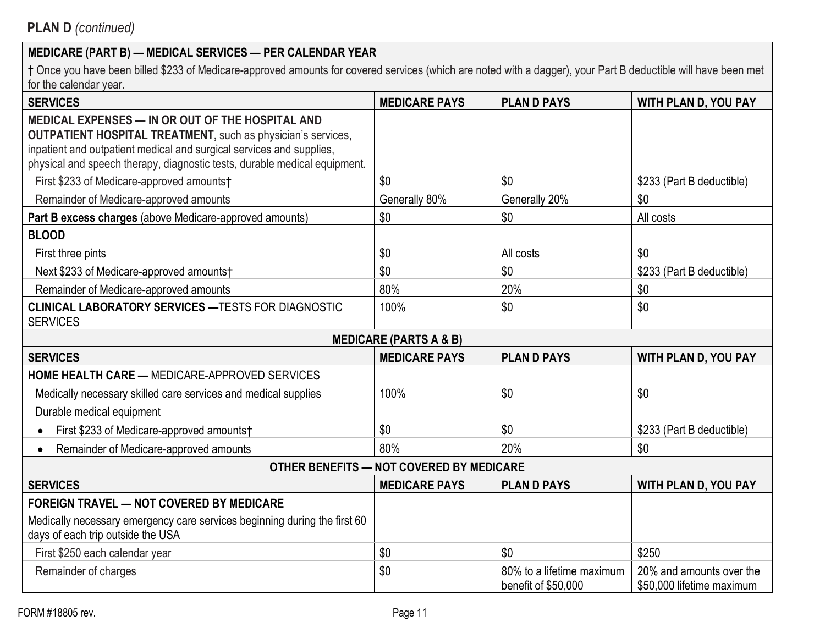| <b>SERVICES</b>                                                                                                                                                                                                                                                              | <b>MEDICARE PAYS</b>                     | <b>PLAND PAYS</b>                                | <b>WITH PLAN D, YOU PAY</b>                           |
|------------------------------------------------------------------------------------------------------------------------------------------------------------------------------------------------------------------------------------------------------------------------------|------------------------------------------|--------------------------------------------------|-------------------------------------------------------|
| MEDICAL EXPENSES - IN OR OUT OF THE HOSPITAL AND<br><b>OUTPATIENT HOSPITAL TREATMENT, such as physician's services,</b><br>inpatient and outpatient medical and surgical services and supplies,<br>physical and speech therapy, diagnostic tests, durable medical equipment. |                                          |                                                  |                                                       |
| First \$233 of Medicare-approved amounts†                                                                                                                                                                                                                                    | \$0                                      | \$0                                              | \$233 (Part B deductible)                             |
| Remainder of Medicare-approved amounts                                                                                                                                                                                                                                       | Generally 80%                            | Generally 20%                                    | \$0                                                   |
| Part B excess charges (above Medicare-approved amounts)                                                                                                                                                                                                                      | \$0                                      | \$0                                              | All costs                                             |
| <b>BLOOD</b>                                                                                                                                                                                                                                                                 |                                          |                                                  |                                                       |
| First three pints                                                                                                                                                                                                                                                            | \$0                                      | All costs                                        | \$0                                                   |
| Next \$233 of Medicare-approved amounts†                                                                                                                                                                                                                                     | \$0                                      | \$0                                              | \$233 (Part B deductible)                             |
| Remainder of Medicare-approved amounts                                                                                                                                                                                                                                       | 80%                                      | 20%                                              | \$0                                                   |
| <b>CLINICAL LABORATORY SERVICES - TESTS FOR DIAGNOSTIC</b><br><b>SERVICES</b>                                                                                                                                                                                                | 100%                                     | \$0                                              | \$0                                                   |
|                                                                                                                                                                                                                                                                              | <b>MEDICARE (PARTS A &amp; B)</b>        |                                                  |                                                       |
| <b>SERVICES</b>                                                                                                                                                                                                                                                              | <b>MEDICARE PAYS</b>                     | <b>PLAND PAYS</b>                                | <b>WITH PLAN D, YOU PAY</b>                           |
| <b>HOME HEALTH CARE - MEDICARE-APPROVED SERVICES</b>                                                                                                                                                                                                                         |                                          |                                                  |                                                       |
| Medically necessary skilled care services and medical supplies                                                                                                                                                                                                               | 100%                                     | \$0                                              | \$0                                                   |
| Durable medical equipment                                                                                                                                                                                                                                                    |                                          |                                                  |                                                       |
| First \$233 of Medicare-approved amounts†                                                                                                                                                                                                                                    | \$0                                      | \$0                                              | \$233 (Part B deductible)                             |
| Remainder of Medicare-approved amounts                                                                                                                                                                                                                                       | 80%                                      | 20%                                              | \$0                                                   |
|                                                                                                                                                                                                                                                                              | OTHER BENEFITS - NOT COVERED BY MEDICARE |                                                  |                                                       |
| <b>SERVICES</b>                                                                                                                                                                                                                                                              | <b>MEDICARE PAYS</b>                     | <b>PLAN D PAYS</b>                               | <b>WITH PLAN D, YOU PAY</b>                           |
| <b>FOREIGN TRAVEL - NOT COVERED BY MEDICARE</b>                                                                                                                                                                                                                              |                                          |                                                  |                                                       |
| Medically necessary emergency care services beginning during the first 60<br>days of each trip outside the USA                                                                                                                                                               |                                          |                                                  |                                                       |
| First \$250 each calendar year                                                                                                                                                                                                                                               | \$0                                      | \$0                                              | \$250                                                 |
| Remainder of charges                                                                                                                                                                                                                                                         | \$0                                      | 80% to a lifetime maximum<br>benefit of \$50,000 | 20% and amounts over the<br>\$50,000 lifetime maximum |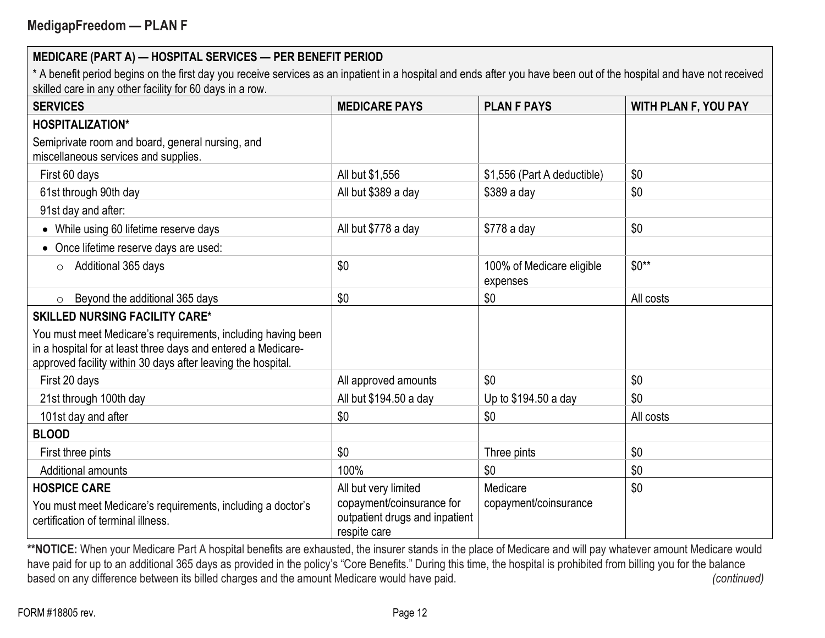\* A benefit period begins on the first day you receive services as an inpatient in a hospital and ends after you have been out of the hospital and have not received skilled care in any other facility for 60 days in a row.

| <b>SERVICES</b>                                                                                                                                                                               | <b>MEDICARE PAYS</b>                                                                                | <b>PLAN F PAYS</b>                    | <b>WITH PLAN F, YOU PAY</b> |
|-----------------------------------------------------------------------------------------------------------------------------------------------------------------------------------------------|-----------------------------------------------------------------------------------------------------|---------------------------------------|-----------------------------|
| <b>HOSPITALIZATION*</b>                                                                                                                                                                       |                                                                                                     |                                       |                             |
| Semiprivate room and board, general nursing, and<br>miscellaneous services and supplies.                                                                                                      |                                                                                                     |                                       |                             |
| First 60 days                                                                                                                                                                                 | All but \$1,556                                                                                     | \$1,556 (Part A deductible)           | \$0                         |
| 61st through 90th day                                                                                                                                                                         | All but \$389 a day                                                                                 | \$389 a day                           | \$0                         |
| 91st day and after:                                                                                                                                                                           |                                                                                                     |                                       |                             |
| While using 60 lifetime reserve days<br>$\bullet$                                                                                                                                             | All but \$778 a day                                                                                 | \$778 a day                           | \$0                         |
| Once lifetime reserve days are used:                                                                                                                                                          |                                                                                                     |                                       |                             |
| Additional 365 days<br>$\circ$                                                                                                                                                                | \$0                                                                                                 | 100% of Medicare eligible<br>expenses | $$0**$                      |
| Beyond the additional 365 days<br>$\circ$                                                                                                                                                     | \$0                                                                                                 | \$0                                   | All costs                   |
| <b>SKILLED NURSING FACILITY CARE*</b>                                                                                                                                                         |                                                                                                     |                                       |                             |
| You must meet Medicare's requirements, including having been<br>in a hospital for at least three days and entered a Medicare-<br>approved facility within 30 days after leaving the hospital. |                                                                                                     |                                       |                             |
| First 20 days                                                                                                                                                                                 | All approved amounts                                                                                | \$0                                   | \$0                         |
| 21st through 100th day                                                                                                                                                                        | All but \$194.50 a day                                                                              | Up to \$194.50 a day                  | \$0                         |
| 101st day and after                                                                                                                                                                           | \$0                                                                                                 | \$0                                   | All costs                   |
| <b>BLOOD</b>                                                                                                                                                                                  |                                                                                                     |                                       |                             |
| First three pints                                                                                                                                                                             | \$0                                                                                                 | Three pints                           | \$0                         |
| Additional amounts                                                                                                                                                                            | 100%                                                                                                | \$0                                   | \$0                         |
| <b>HOSPICE CARE</b><br>You must meet Medicare's requirements, including a doctor's<br>certification of terminal illness.                                                                      | All but very limited<br>copayment/coinsurance for<br>outpatient drugs and inpatient<br>respite care | Medicare<br>copayment/coinsurance     | \$0                         |

\*\*NOTICE: When your Medicare Part A hospital benefits are exhausted, the insurer stands in the place of Medicare and will pay whatever amount Medicare would have paid for up to an additional 365 days as provided in the policy's "Core Benefits." During this time, the hospital is prohibited from billing you for the balance based on any difference between its billed charges and the amount Medicare would have paid. (continued) (continued)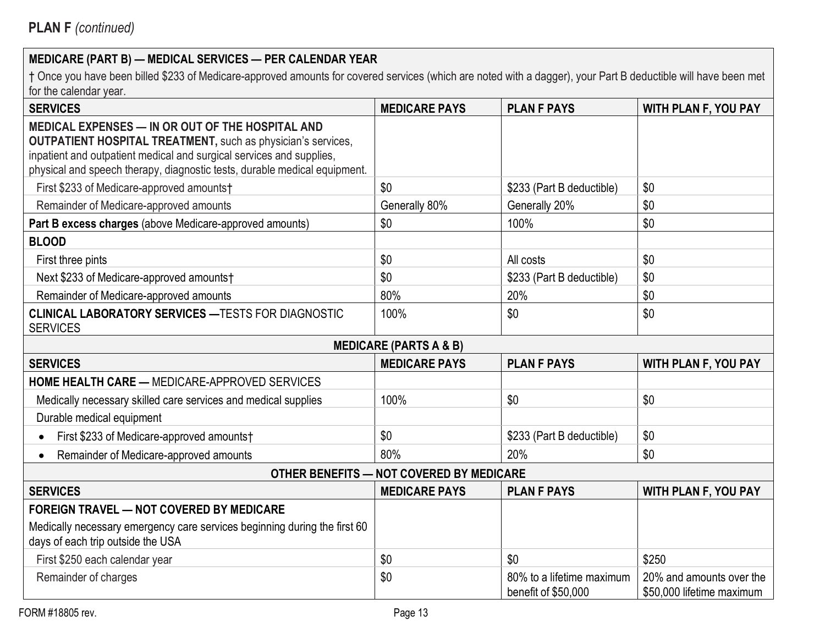| <b>SERVICES</b>                                                                                                                                                                                                                                                              | <b>MEDICARE PAYS</b>                     | <b>PLAN F PAYS</b>                               | WITH PLAN F, YOU PAY                                  |
|------------------------------------------------------------------------------------------------------------------------------------------------------------------------------------------------------------------------------------------------------------------------------|------------------------------------------|--------------------------------------------------|-------------------------------------------------------|
| MEDICAL EXPENSES - IN OR OUT OF THE HOSPITAL AND<br><b>OUTPATIENT HOSPITAL TREATMENT, such as physician's services,</b><br>inpatient and outpatient medical and surgical services and supplies,<br>physical and speech therapy, diagnostic tests, durable medical equipment. |                                          |                                                  |                                                       |
| First \$233 of Medicare-approved amounts†                                                                                                                                                                                                                                    | \$0                                      | \$233 (Part B deductible)                        | \$0                                                   |
| Remainder of Medicare-approved amounts                                                                                                                                                                                                                                       | Generally 80%                            | Generally 20%                                    | \$0                                                   |
| Part B excess charges (above Medicare-approved amounts)                                                                                                                                                                                                                      | \$0                                      | 100%                                             | \$0                                                   |
| <b>BLOOD</b>                                                                                                                                                                                                                                                                 |                                          |                                                  |                                                       |
| First three pints                                                                                                                                                                                                                                                            | \$0                                      | All costs                                        | \$0                                                   |
| Next \$233 of Medicare-approved amounts†                                                                                                                                                                                                                                     | \$0                                      | \$233 (Part B deductible)                        | \$0                                                   |
| Remainder of Medicare-approved amounts                                                                                                                                                                                                                                       | 80%                                      | 20%                                              | \$0                                                   |
| <b>CLINICAL LABORATORY SERVICES - TESTS FOR DIAGNOSTIC</b><br><b>SERVICES</b>                                                                                                                                                                                                | 100%                                     | \$0                                              | \$0                                                   |
|                                                                                                                                                                                                                                                                              | <b>MEDICARE (PARTS A &amp; B)</b>        |                                                  |                                                       |
| <b>SERVICES</b>                                                                                                                                                                                                                                                              | <b>MEDICARE PAYS</b>                     | <b>PLAN F PAYS</b>                               | WITH PLAN F, YOU PAY                                  |
| <b>HOME HEALTH CARE - MEDICARE-APPROVED SERVICES</b>                                                                                                                                                                                                                         |                                          |                                                  |                                                       |
| Medically necessary skilled care services and medical supplies                                                                                                                                                                                                               | 100%                                     | \$0                                              | \$0                                                   |
| Durable medical equipment                                                                                                                                                                                                                                                    |                                          |                                                  |                                                       |
| First \$233 of Medicare-approved amounts†                                                                                                                                                                                                                                    | \$0                                      | \$233 (Part B deductible)                        | \$0                                                   |
| Remainder of Medicare-approved amounts<br>$\bullet$                                                                                                                                                                                                                          | 80%                                      | 20%                                              | \$0                                                   |
|                                                                                                                                                                                                                                                                              | OTHER BENEFITS - NOT COVERED BY MEDICARE |                                                  |                                                       |
| <b>SERVICES</b>                                                                                                                                                                                                                                                              | <b>MEDICARE PAYS</b>                     | <b>PLAN F PAYS</b>                               | <b>WITH PLAN F, YOU PAY</b>                           |
| <b>FOREIGN TRAVEL - NOT COVERED BY MEDICARE</b>                                                                                                                                                                                                                              |                                          |                                                  |                                                       |
| Medically necessary emergency care services beginning during the first 60<br>days of each trip outside the USA                                                                                                                                                               |                                          |                                                  |                                                       |
| First \$250 each calendar year                                                                                                                                                                                                                                               | \$0                                      | \$0                                              | \$250                                                 |
| Remainder of charges                                                                                                                                                                                                                                                         | \$0                                      | 80% to a lifetime maximum<br>benefit of \$50,000 | 20% and amounts over the<br>\$50,000 lifetime maximum |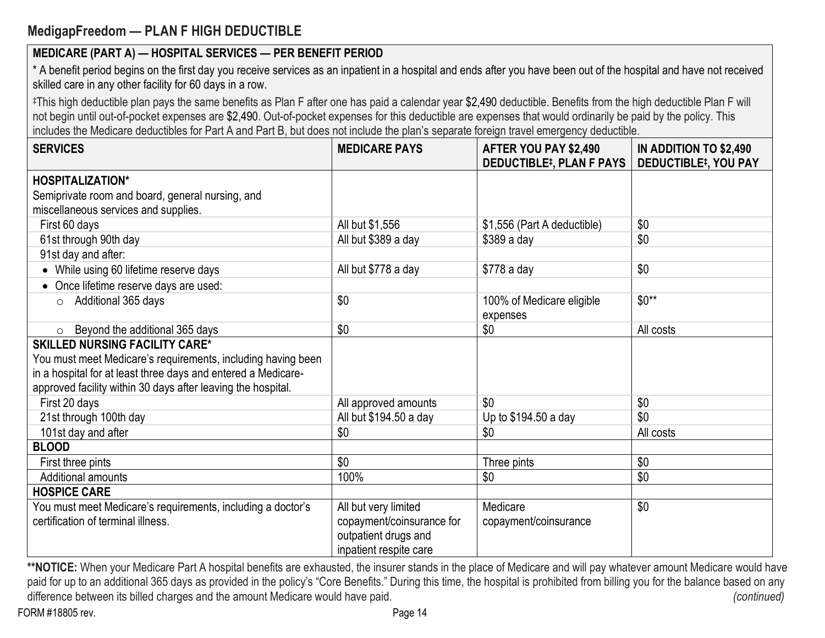# **MedigapFreedom — PLAN F HIGH DEDUCTIBLE**

**MEDICARE (PART A) — HOSPITAL SERVICES — PER BENEFIT PERIOD**

| skilled care in any other facility for 60 days in a row.                                                                                                                                                                                                                                                                                                                                                                                                                    |                                                                             |                                                          |                                                       |
|-----------------------------------------------------------------------------------------------------------------------------------------------------------------------------------------------------------------------------------------------------------------------------------------------------------------------------------------------------------------------------------------------------------------------------------------------------------------------------|-----------------------------------------------------------------------------|----------------------------------------------------------|-------------------------------------------------------|
| ‡This high deductible plan pays the same benefits as Plan F after one has paid a calendar year \$2,490 deductible. Benefits from the high deductible Plan F will<br>not begin until out-of-pocket expenses are \$2,490. Out-of-pocket expenses for this deductible are expenses that would ordinarily be paid by the policy. This<br>includes the Medicare deductibles for Part A and Part B, but does not include the plan's separate foreign travel emergency deductible. |                                                                             |                                                          |                                                       |
| <b>SERVICES</b>                                                                                                                                                                                                                                                                                                                                                                                                                                                             | <b>MEDICARE PAYS</b>                                                        | AFTER YOU PAY \$2,490<br><b>DEDUCTIBLE#, PLAN F PAYS</b> | IN ADDITION TO \$2,490<br><b>DEDUCTIBLE#, YOU PAY</b> |
| <b>HOSPITALIZATION*</b>                                                                                                                                                                                                                                                                                                                                                                                                                                                     |                                                                             |                                                          |                                                       |
| Semiprivate room and board, general nursing, and                                                                                                                                                                                                                                                                                                                                                                                                                            |                                                                             |                                                          |                                                       |
| miscellaneous services and supplies.                                                                                                                                                                                                                                                                                                                                                                                                                                        |                                                                             |                                                          |                                                       |
| First 60 days                                                                                                                                                                                                                                                                                                                                                                                                                                                               | All but \$1,556                                                             | \$1,556 (Part A deductible)                              | \$0                                                   |
| 61st through 90th day                                                                                                                                                                                                                                                                                                                                                                                                                                                       | All but \$389 a day                                                         | $$389a$ day                                              | \$0                                                   |
| 91st day and after:                                                                                                                                                                                                                                                                                                                                                                                                                                                         |                                                                             |                                                          |                                                       |
| • While using 60 lifetime reserve days                                                                                                                                                                                                                                                                                                                                                                                                                                      | All but \$778 a day                                                         | $$778a$ day                                              | \$0                                                   |
| Once lifetime reserve days are used:                                                                                                                                                                                                                                                                                                                                                                                                                                        |                                                                             |                                                          |                                                       |
| Additional 365 days<br>$\circ$                                                                                                                                                                                                                                                                                                                                                                                                                                              | \$0                                                                         | 100% of Medicare eligible<br>expenses                    | $$0**$                                                |
| Beyond the additional 365 days<br>$\circ$                                                                                                                                                                                                                                                                                                                                                                                                                                   | \$0                                                                         | \$0                                                      | All costs                                             |
| <b>SKILLED NURSING FACILITY CARE*</b>                                                                                                                                                                                                                                                                                                                                                                                                                                       |                                                                             |                                                          |                                                       |
| You must meet Medicare's requirements, including having been                                                                                                                                                                                                                                                                                                                                                                                                                |                                                                             |                                                          |                                                       |
| in a hospital for at least three days and entered a Medicare-                                                                                                                                                                                                                                                                                                                                                                                                               |                                                                             |                                                          |                                                       |
| approved facility within 30 days after leaving the hospital.                                                                                                                                                                                                                                                                                                                                                                                                                |                                                                             |                                                          |                                                       |
| First 20 days                                                                                                                                                                                                                                                                                                                                                                                                                                                               | All approved amounts                                                        | \$0                                                      | \$0                                                   |
| 21st through 100th day                                                                                                                                                                                                                                                                                                                                                                                                                                                      | All but \$194.50 a day                                                      | Up to \$194.50 a day                                     | \$0                                                   |
| 101st day and after                                                                                                                                                                                                                                                                                                                                                                                                                                                         | \$0                                                                         | \$0                                                      | All costs                                             |
| <b>BLOOD</b>                                                                                                                                                                                                                                                                                                                                                                                                                                                                |                                                                             |                                                          |                                                       |
| First three pints                                                                                                                                                                                                                                                                                                                                                                                                                                                           | \$0                                                                         | Three pints                                              | \$0                                                   |
| Additional amounts                                                                                                                                                                                                                                                                                                                                                                                                                                                          | 100%                                                                        | \$0                                                      | \$0                                                   |
| <b>HOSPICE CARE</b>                                                                                                                                                                                                                                                                                                                                                                                                                                                         |                                                                             |                                                          |                                                       |
| You must meet Medicare's requirements, including a doctor's                                                                                                                                                                                                                                                                                                                                                                                                                 | All but very limited                                                        | Medicare                                                 | \$0                                                   |
| certification of terminal illness.                                                                                                                                                                                                                                                                                                                                                                                                                                          | copayment/coinsurance for<br>outpatient drugs and<br>inpatient respite care | copayment/coinsurance                                    |                                                       |

\* A benefit period begins on the first day you receive services as an inpatient in a hospital and ends after you have been out of the hospital and have not received

\*\*NOTICE: When your Medicare Part A hospital benefits are exhausted, the insurer stands in the place of Medicare and will pay whatever amount Medicare would have paid for up to an additional 365 days as provided in the policy's "Core Benefits." During this time, the hospital is prohibited from billing you for the balance based on any difference between its billed charges and the amount Medicare would have paid. *(continued)* (*continued*)

FORM #18805 rev. Page 14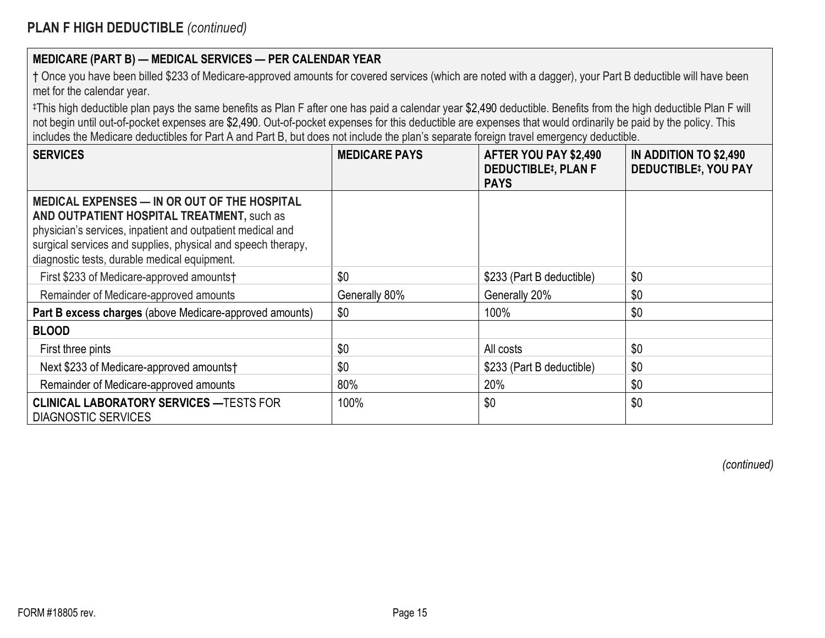| † Once you have been billed \$233 of Medicare-approved amounts for covered services (which are noted with a dagger), your Part B deductible will have been |  |
|------------------------------------------------------------------------------------------------------------------------------------------------------------|--|
| met for the calendar year.                                                                                                                                 |  |

‡This high deductible plan pays the same benefits as Plan F after one has paid a calendar year \$2,490 deductible. Benefits from the high deductible Plan F will not begin until out-of-pocket expenses are \$2,490. Out-of-pocket expenses for this deductible are expenses that would ordinarily be paid by the policy. This includes the Medicare deductibles for Part A and Part B, but does not include the plan's separate foreign travel emergency deductible.

| <b>SERVICES</b>                                                                                                                                                                                                                                                          | <b>MEDICARE PAYS</b> | AFTER YOU PAY \$2,490<br><b>DEDUCTIBLE#, PLAN F</b><br><b>PAYS</b> | IN ADDITION TO \$2,490<br><b>DEDUCTIBLE<sup>‡</sup>, YOU PAY</b> |
|--------------------------------------------------------------------------------------------------------------------------------------------------------------------------------------------------------------------------------------------------------------------------|----------------------|--------------------------------------------------------------------|------------------------------------------------------------------|
| MEDICAL EXPENSES — IN OR OUT OF THE HOSPITAL<br>AND OUTPATIENT HOSPITAL TREATMENT, such as<br>physician's services, inpatient and outpatient medical and<br>surgical services and supplies, physical and speech therapy,<br>diagnostic tests, durable medical equipment. |                      |                                                                    |                                                                  |
| First \$233 of Medicare-approved amounts†                                                                                                                                                                                                                                | \$0                  | \$233 (Part B deductible)                                          | \$0                                                              |
| Remainder of Medicare-approved amounts                                                                                                                                                                                                                                   | Generally 80%        | Generally 20%                                                      | \$0                                                              |
| Part B excess charges (above Medicare-approved amounts)                                                                                                                                                                                                                  | \$0                  | 100%                                                               | \$0                                                              |
| <b>BLOOD</b>                                                                                                                                                                                                                                                             |                      |                                                                    |                                                                  |
| First three pints                                                                                                                                                                                                                                                        | \$0                  | All costs                                                          | \$0                                                              |
| Next \$233 of Medicare-approved amounts†                                                                                                                                                                                                                                 | \$0                  | \$233 (Part B deductible)                                          | \$0                                                              |
| Remainder of Medicare-approved amounts                                                                                                                                                                                                                                   | 80%                  | 20%                                                                | \$0                                                              |
| <b>CLINICAL LABORATORY SERVICES - TESTS FOR</b><br><b>DIAGNOSTIC SERVICES</b>                                                                                                                                                                                            | 100%                 | \$0                                                                | \$0                                                              |

*(continued)*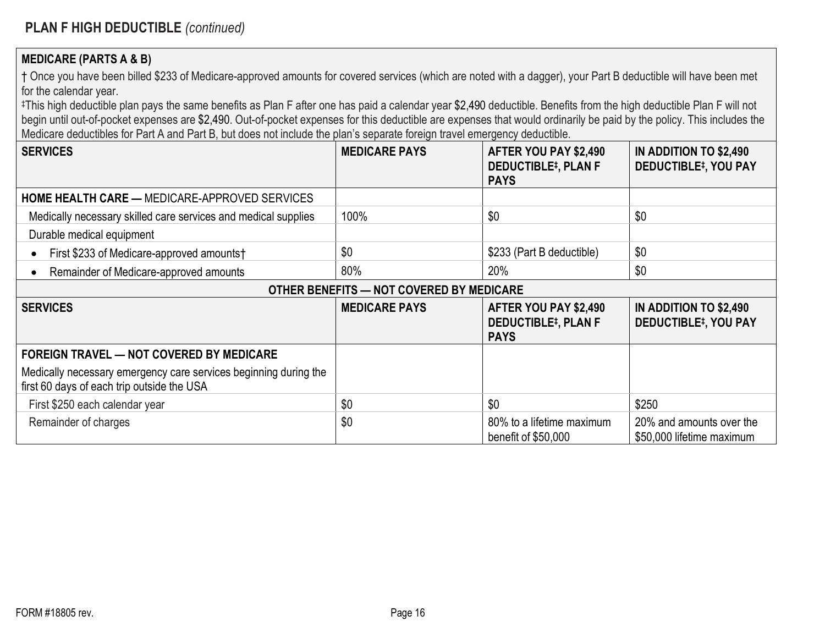#### **MEDICARE (PARTS A & B)**

† Once you have been billed \$233 of Medicare-approved amounts for covered services (which are noted with a dagger), your Part B deductible will have been met for the calendar year.

‡This high deductible plan pays the same benefits as Plan F after one has paid a calendar year \$2,490 deductible. Benefits from the high deductible Plan F will not begin until out-of-pocket expenses are \$2,490. Out-of-pocket expenses for this deductible are expenses that would ordinarily be paid by the policy. This includes the Medicare deductibles for Part A and Part B, but does not include the plan's separate foreign travel emergency deductible.

| <b>SERVICES</b>                                                                                                | <b>MEDICARE PAYS</b> | AFTER YOU PAY \$2,490<br><b>DEDUCTIBLE#, PLAN F</b><br><b>PAYS</b> | IN ADDITION TO \$2,490<br><b>DEDUCTIBLE#, YOU PAY</b> |
|----------------------------------------------------------------------------------------------------------------|----------------------|--------------------------------------------------------------------|-------------------------------------------------------|
| <b>HOME HEALTH CARE — MEDICARE-APPROVED SERVICES</b>                                                           |                      |                                                                    |                                                       |
| Medically necessary skilled care services and medical supplies                                                 | 100%                 | \$0                                                                | \$0                                                   |
| Durable medical equipment                                                                                      |                      |                                                                    |                                                       |
| First \$233 of Medicare-approved amounts†                                                                      | \$0                  | \$233 (Part B deductible)                                          | \$0                                                   |
| Remainder of Medicare-approved amounts                                                                         | 80%                  | 20%                                                                | \$0                                                   |
| OTHER BENEFITS - NOT COVERED BY MEDICARE                                                                       |                      |                                                                    |                                                       |
| <b>SERVICES</b>                                                                                                | <b>MEDICARE PAYS</b> | AFTER YOU PAY \$2,490<br><b>DEDUCTIBLE#, PLAN F</b><br><b>PAYS</b> | IN ADDITION TO \$2,490<br><b>DEDUCTIBLE#, YOU PAY</b> |
| <b>FOREIGN TRAVEL - NOT COVERED BY MEDICARE</b>                                                                |                      |                                                                    |                                                       |
| Medically necessary emergency care services beginning during the<br>first 60 days of each trip outside the USA |                      |                                                                    |                                                       |
| First \$250 each calendar year                                                                                 | \$0                  | \$0                                                                | \$250                                                 |
| Remainder of charges                                                                                           | \$0                  | 80% to a lifetime maximum<br>benefit of \$50,000                   | 20% and amounts over the<br>\$50,000 lifetime maximum |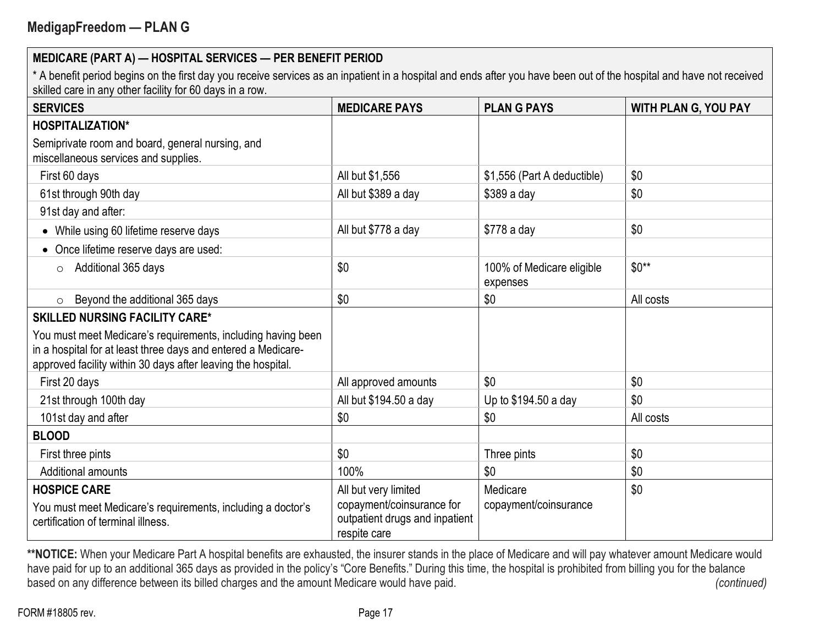\* A benefit period begins on the first day you receive services as an inpatient in a hospital and ends after you have been out of the hospital and have not received skilled care in any other facility for 60 days in a row.

| <b>SERVICES</b>                                                                                                                                                                               | <b>MEDICARE PAYS</b>                                                                                | <b>PLAN G PAYS</b>                    | <b>WITH PLAN G, YOU PAY</b> |
|-----------------------------------------------------------------------------------------------------------------------------------------------------------------------------------------------|-----------------------------------------------------------------------------------------------------|---------------------------------------|-----------------------------|
| <b>HOSPITALIZATION*</b>                                                                                                                                                                       |                                                                                                     |                                       |                             |
| Semiprivate room and board, general nursing, and<br>miscellaneous services and supplies.                                                                                                      |                                                                                                     |                                       |                             |
| First 60 days                                                                                                                                                                                 | All but \$1,556                                                                                     | \$1,556 (Part A deductible)           | \$0                         |
| 61st through 90th day                                                                                                                                                                         | All but \$389 a day                                                                                 | \$389 a day                           | \$0                         |
| 91st day and after:                                                                                                                                                                           |                                                                                                     |                                       |                             |
| While using 60 lifetime reserve days                                                                                                                                                          | All but \$778 a day                                                                                 | \$778 a day                           | \$0                         |
| Once lifetime reserve days are used:                                                                                                                                                          |                                                                                                     |                                       |                             |
| Additional 365 days<br>$\circ$                                                                                                                                                                | \$0                                                                                                 | 100% of Medicare eligible<br>expenses | $$0**$                      |
| Beyond the additional 365 days<br>$\circ$                                                                                                                                                     | \$0                                                                                                 | \$0                                   | All costs                   |
| <b>SKILLED NURSING FACILITY CARE*</b>                                                                                                                                                         |                                                                                                     |                                       |                             |
| You must meet Medicare's requirements, including having been<br>in a hospital for at least three days and entered a Medicare-<br>approved facility within 30 days after leaving the hospital. |                                                                                                     |                                       |                             |
| First 20 days                                                                                                                                                                                 | All approved amounts                                                                                | \$0                                   | \$0                         |
| 21st through 100th day                                                                                                                                                                        | All but \$194.50 a day                                                                              | Up to \$194.50 a day                  | \$0                         |
| 101st day and after                                                                                                                                                                           | \$0                                                                                                 | \$0                                   | All costs                   |
| <b>BLOOD</b>                                                                                                                                                                                  |                                                                                                     |                                       |                             |
| First three pints                                                                                                                                                                             | \$0                                                                                                 | Three pints                           | \$0                         |
| <b>Additional amounts</b>                                                                                                                                                                     | 100%                                                                                                | \$0                                   | \$0                         |
| <b>HOSPICE CARE</b><br>You must meet Medicare's requirements, including a doctor's<br>certification of terminal illness.                                                                      | All but very limited<br>copayment/coinsurance for<br>outpatient drugs and inpatient<br>respite care | Medicare<br>copayment/coinsurance     | \$0                         |

\*\*NOTICE: When your Medicare Part A hospital benefits are exhausted, the insurer stands in the place of Medicare and will pay whatever amount Medicare would have paid for up to an additional 365 days as provided in the policy's "Core Benefits." During this time, the hospital is prohibited from billing you for the balance based on any difference between its billed charges and the amount Medicare would have paid. (continued) (continued)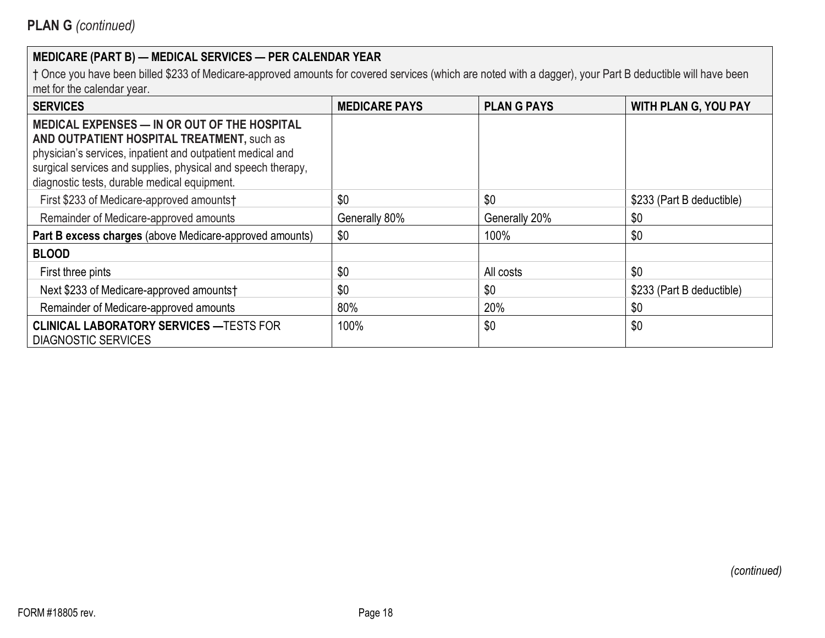| <b>SERVICES</b>                                                                                                                                                                                                                                                          | <b>MEDICARE PAYS</b> | <b>PLAN G PAYS</b> | <b>WITH PLAN G, YOU PAY</b> |
|--------------------------------------------------------------------------------------------------------------------------------------------------------------------------------------------------------------------------------------------------------------------------|----------------------|--------------------|-----------------------------|
| MEDICAL EXPENSES - IN OR OUT OF THE HOSPITAL<br>AND OUTPATIENT HOSPITAL TREATMENT, such as<br>physician's services, inpatient and outpatient medical and<br>surgical services and supplies, physical and speech therapy,<br>diagnostic tests, durable medical equipment. |                      |                    |                             |
| First \$233 of Medicare-approved amounts†                                                                                                                                                                                                                                | \$0                  | \$0                | \$233 (Part B deductible)   |
| Remainder of Medicare-approved amounts                                                                                                                                                                                                                                   | Generally 80%        | Generally 20%      | \$0                         |
| Part B excess charges (above Medicare-approved amounts)                                                                                                                                                                                                                  | \$0                  | 100%               | \$0                         |
| <b>BLOOD</b>                                                                                                                                                                                                                                                             |                      |                    |                             |
| First three pints                                                                                                                                                                                                                                                        | \$0                  | All costs          | \$0                         |
| Next \$233 of Medicare-approved amounts†                                                                                                                                                                                                                                 | \$0                  | \$0                | \$233 (Part B deductible)   |
| Remainder of Medicare-approved amounts                                                                                                                                                                                                                                   | 80%                  | 20%                | \$0                         |
| <b>CLINICAL LABORATORY SERVICES - TESTS FOR</b><br><b>DIAGNOSTIC SERVICES</b>                                                                                                                                                                                            | 100%                 | \$0                | \$0                         |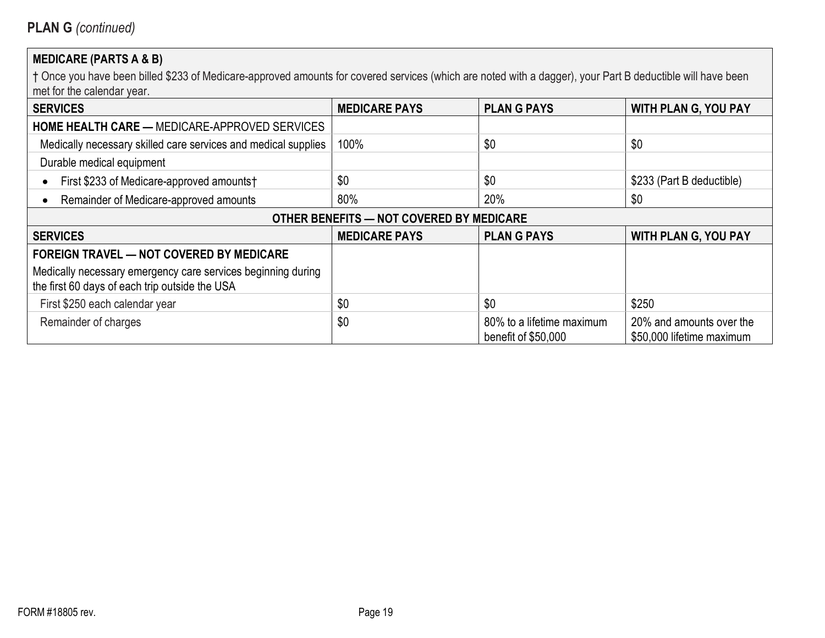# **MEDICARE (PARTS A & B)**

| <b>SERVICES</b>                                                                                                | <b>MEDICARE PAYS</b>                     | <b>PLAN G PAYS</b>                               | <b>WITH PLAN G, YOU PAY</b>                           |
|----------------------------------------------------------------------------------------------------------------|------------------------------------------|--------------------------------------------------|-------------------------------------------------------|
| <b>HOME HEALTH CARE — MEDICARE-APPROVED SERVICES</b>                                                           |                                          |                                                  |                                                       |
| Medically necessary skilled care services and medical supplies                                                 | 100%                                     | \$0                                              | \$0                                                   |
| Durable medical equipment                                                                                      |                                          |                                                  |                                                       |
| First \$233 of Medicare-approved amounts†                                                                      | \$0                                      | \$0                                              | \$233 (Part B deductible)                             |
| Remainder of Medicare-approved amounts                                                                         | 80%                                      | 20%                                              | \$0                                                   |
|                                                                                                                | OTHER BENEFITS - NOT COVERED BY MEDICARE |                                                  |                                                       |
| <b>SERVICES</b>                                                                                                | <b>MEDICARE PAYS</b>                     | <b>PLANG PAYS</b>                                | <b>WITH PLAN G, YOU PAY</b>                           |
| <b>FOREIGN TRAVEL - NOT COVERED BY MEDICARE</b>                                                                |                                          |                                                  |                                                       |
| Medically necessary emergency care services beginning during<br>the first 60 days of each trip outside the USA |                                          |                                                  |                                                       |
| First \$250 each calendar year                                                                                 | \$0                                      | \$0                                              | \$250                                                 |
| Remainder of charges                                                                                           | \$0                                      | 80% to a lifetime maximum<br>benefit of \$50,000 | 20% and amounts over the<br>\$50,000 lifetime maximum |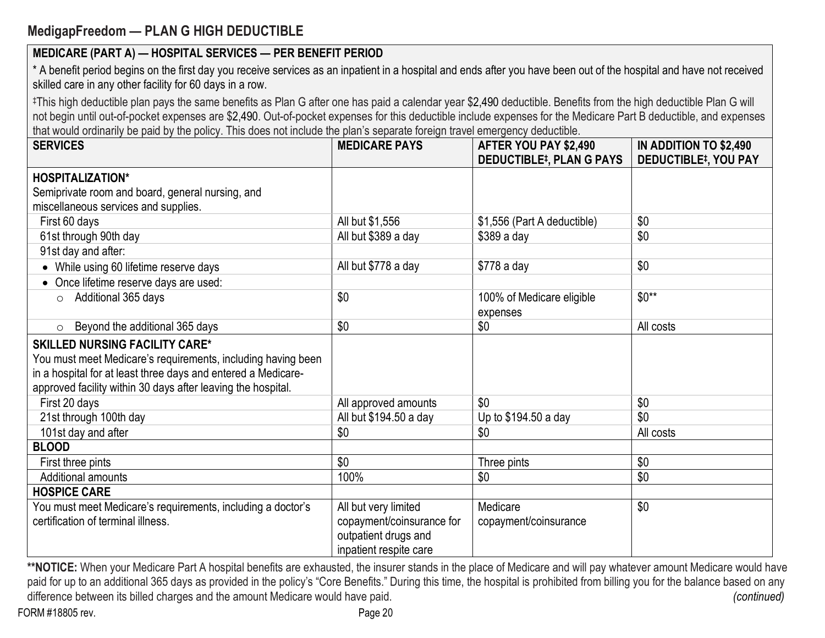# **MedigapFreedom — PLAN G HIGH DEDUCTIBLE**

## **MEDICARE (PART A) — HOSPITAL SERVICES — PER BENEFIT PERIOD**

\* A benefit period begins on the first day you receive services as an inpatient in a hospital and ends after you have been out of the hospital and have not received skilled care in any other facility for 60 days in a row.

‡This high deductible plan pays the same benefits as Plan G after one has paid a calendar year \$2,490 deductible. Benefits from the high deductible Plan G will not begin until out-of-pocket expenses are \$2,490. Out-of-pocket expenses for this deductible include expenses for the Medicare Part B deductible, and expenses that would ordinarily be paid by the policy. This does not include the plan's separate foreign travel emergency deductible.

| <b>SERVICES</b>                                               | <b>MEDICARE PAYS</b>      | AFTER YOU PAY \$2,490<br><b>DEDUCTIBLE#, PLAN G PAYS</b> | IN ADDITION TO \$2,490<br><b>DEDUCTIBLE#, YOU PAY</b> |
|---------------------------------------------------------------|---------------------------|----------------------------------------------------------|-------------------------------------------------------|
| <b>HOSPITALIZATION*</b>                                       |                           |                                                          |                                                       |
| Semiprivate room and board, general nursing, and              |                           |                                                          |                                                       |
| miscellaneous services and supplies.                          |                           |                                                          |                                                       |
| First 60 days                                                 | All but \$1,556           | \$1,556 (Part A deductible)                              | \$0                                                   |
| 61st through 90th day                                         | All but \$389 a day       | \$389 a day                                              | \$0                                                   |
| 91st day and after:                                           |                           |                                                          |                                                       |
| While using 60 lifetime reserve days                          | All but \$778 a day       | \$778 a day                                              | \$0                                                   |
| • Once lifetime reserve days are used:                        |                           |                                                          |                                                       |
| Additional 365 days<br>$\circ$                                | \$0                       | 100% of Medicare eligible                                | $$0**$                                                |
|                                                               |                           | expenses                                                 |                                                       |
| Beyond the additional 365 days<br>$\circ$                     | \$0                       | \$0                                                      | All costs                                             |
| <b>SKILLED NURSING FACILITY CARE*</b>                         |                           |                                                          |                                                       |
| You must meet Medicare's requirements, including having been  |                           |                                                          |                                                       |
| in a hospital for at least three days and entered a Medicare- |                           |                                                          |                                                       |
| approved facility within 30 days after leaving the hospital.  |                           |                                                          |                                                       |
| First 20 days                                                 | All approved amounts      | \$0                                                      | \$0                                                   |
| 21st through 100th day                                        | All but \$194.50 a day    | Up to \$194.50 a day                                     | \$0                                                   |
| 101st day and after                                           | \$0                       | \$0                                                      | All costs                                             |
| <b>BLOOD</b>                                                  |                           |                                                          |                                                       |
| First three pints                                             | \$0                       | Three pints                                              | \$0                                                   |
| <b>Additional amounts</b>                                     | 100%                      | \$0                                                      | \$0                                                   |
| <b>HOSPICE CARE</b>                                           |                           |                                                          |                                                       |
| You must meet Medicare's requirements, including a doctor's   | All but very limited      | Medicare                                                 | \$0                                                   |
| certification of terminal illness.                            | copayment/coinsurance for | copayment/coinsurance                                    |                                                       |
|                                                               | outpatient drugs and      |                                                          |                                                       |
|                                                               | inpatient respite care    |                                                          |                                                       |

\*\*NOTICE: When your Medicare Part A hospital benefits are exhausted, the insurer stands in the place of Medicare and will pay whatever amount Medicare would have paid for up to an additional 365 days as provided in the policy's "Core Benefits." During this time, the hospital is prohibited from billing you for the balance based on any difference between its billed charges and the amount Medicare would have paid. *(continued) (continued)*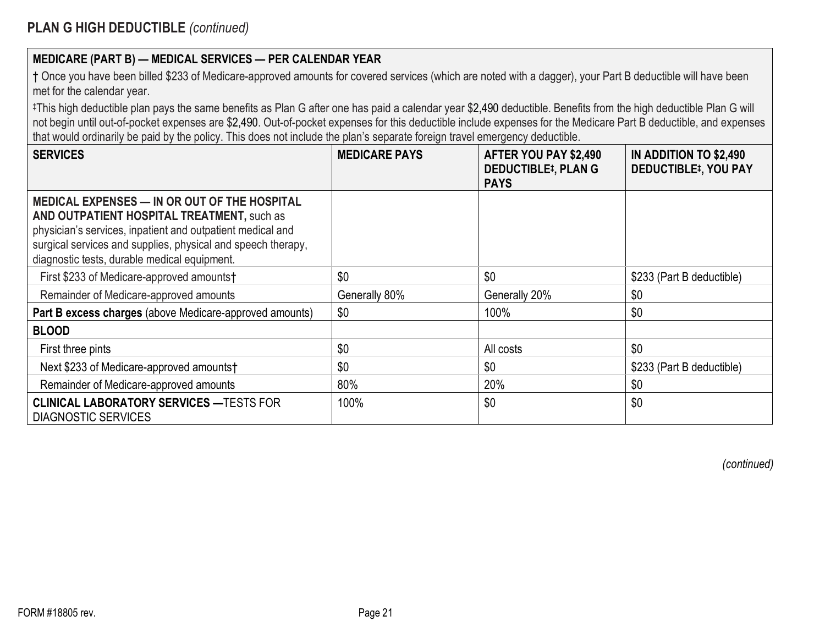| † Once you have been billed \$233 of Medicare-approved amounts for covered services (which are noted with a dagger), your Part B deductible will have been |  |
|------------------------------------------------------------------------------------------------------------------------------------------------------------|--|
| met for the calendar year.                                                                                                                                 |  |

‡This high deductible plan pays the same benefits as Plan G after one has paid a calendar year \$2,490 deductible. Benefits from the high deductible Plan G will not begin until out-of-pocket expenses are \$2,490. Out-of-pocket expenses for this deductible include expenses for the Medicare Part B deductible, and expenses that would ordinarily be paid by the policy. This does not include the plan's separate foreign travel emergency deductible.

| <b>SERVICES</b>                                                                                                                                                                                                                                                          | <b>MEDICARE PAYS</b> | AFTER YOU PAY \$2,490<br><b>DEDUCTIBLE#, PLAN G</b><br><b>PAYS</b> | IN ADDITION TO \$2,490<br><b>DEDUCTIBLE<sup>‡</sup>, YOU PAY</b> |
|--------------------------------------------------------------------------------------------------------------------------------------------------------------------------------------------------------------------------------------------------------------------------|----------------------|--------------------------------------------------------------------|------------------------------------------------------------------|
| MEDICAL EXPENSES — IN OR OUT OF THE HOSPITAL<br>AND OUTPATIENT HOSPITAL TREATMENT, such as<br>physician's services, inpatient and outpatient medical and<br>surgical services and supplies, physical and speech therapy,<br>diagnostic tests, durable medical equipment. |                      |                                                                    |                                                                  |
| First \$233 of Medicare-approved amounts†                                                                                                                                                                                                                                | \$0                  | \$0                                                                | \$233 (Part B deductible)                                        |
| Remainder of Medicare-approved amounts                                                                                                                                                                                                                                   | Generally 80%        | Generally 20%                                                      | \$0                                                              |
| Part B excess charges (above Medicare-approved amounts)                                                                                                                                                                                                                  | \$0                  | 100%                                                               | \$0                                                              |
| <b>BLOOD</b>                                                                                                                                                                                                                                                             |                      |                                                                    |                                                                  |
| First three pints                                                                                                                                                                                                                                                        | \$0                  | All costs                                                          | \$0                                                              |
| Next \$233 of Medicare-approved amounts†                                                                                                                                                                                                                                 | \$0                  | \$0                                                                | \$233 (Part B deductible)                                        |
| Remainder of Medicare-approved amounts                                                                                                                                                                                                                                   | 80%                  | 20%                                                                | \$0                                                              |
| <b>CLINICAL LABORATORY SERVICES - TESTS FOR</b><br><b>DIAGNOSTIC SERVICES</b>                                                                                                                                                                                            | 100%                 | \$0                                                                | \$0                                                              |

*(continued)*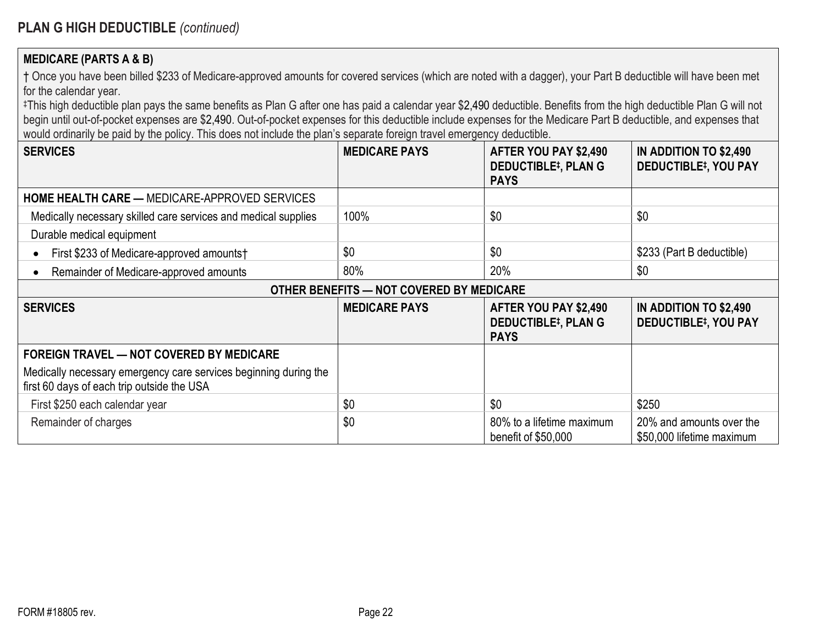#### **MEDICARE (PARTS A & B)**

† Once you have been billed \$233 of Medicare-approved amounts for covered services (which are noted with a dagger), your Part B deductible will have been met for the calendar year.

‡This high deductible plan pays the same benefits as Plan G after one has paid a calendar year \$2,490 deductible. Benefits from the high deductible Plan G will not begin until out-of-pocket expenses are \$2,490. Out-of-pocket expenses for this deductible include expenses for the Medicare Part B deductible, and expenses that would ordinarily be paid by the policy. This does not include the plan's separate foreign travel emergency deductible.

| <b>SERVICES</b>                                                                                                | <b>MEDICARE PAYS</b>                     | AFTER YOU PAY \$2,490<br><b>DEDUCTIBLE#, PLAN G</b><br><b>PAYS</b> | IN ADDITION TO \$2,490<br><b>DEDUCTIBLE#, YOU PAY</b> |
|----------------------------------------------------------------------------------------------------------------|------------------------------------------|--------------------------------------------------------------------|-------------------------------------------------------|
| <b>HOME HEALTH CARE — MEDICARE-APPROVED SERVICES</b>                                                           |                                          |                                                                    |                                                       |
| Medically necessary skilled care services and medical supplies                                                 | 100%                                     | \$0                                                                | \$0                                                   |
| Durable medical equipment                                                                                      |                                          |                                                                    |                                                       |
| First \$233 of Medicare-approved amounts†                                                                      | \$0                                      | \$0                                                                | \$233 (Part B deductible)                             |
| Remainder of Medicare-approved amounts                                                                         | 80%                                      | 20%                                                                | \$0                                                   |
|                                                                                                                | OTHER BENEFITS - NOT COVERED BY MEDICARE |                                                                    |                                                       |
| <b>SERVICES</b>                                                                                                | <b>MEDICARE PAYS</b>                     | AFTER YOU PAY \$2,490<br><b>DEDUCTIBLE#, PLAN G</b><br><b>PAYS</b> | IN ADDITION TO \$2,490<br><b>DEDUCTIBLE#, YOU PAY</b> |
| <b>FOREIGN TRAVEL — NOT COVERED BY MEDICARE</b>                                                                |                                          |                                                                    |                                                       |
| Medically necessary emergency care services beginning during the<br>first 60 days of each trip outside the USA |                                          |                                                                    |                                                       |
| First \$250 each calendar year                                                                                 | \$0                                      | \$0                                                                | \$250                                                 |
| Remainder of charges                                                                                           | \$0                                      | 80% to a lifetime maximum<br>benefit of \$50,000                   | 20% and amounts over the<br>\$50,000 lifetime maximum |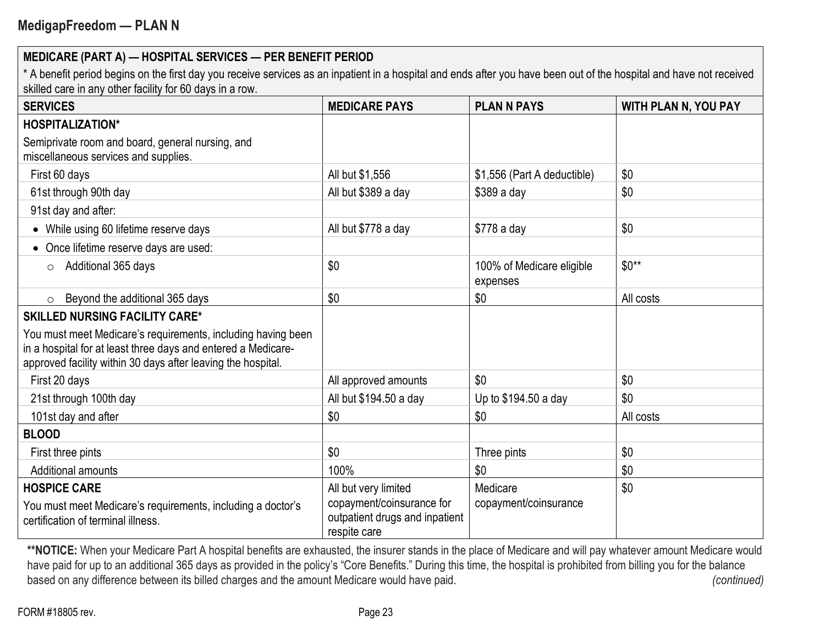\* A benefit period begins on the first day you receive services as an inpatient in a hospital and ends after you have been out of the hospital and have not received skilled care in any other facility for 60 days in a row.

| <b>SERVICES</b>                                                                                                                                                                               | <b>MEDICARE PAYS</b>                                                        | <b>PLAN N PAYS</b>                    | <b>WITH PLAN N, YOU PAY</b> |
|-----------------------------------------------------------------------------------------------------------------------------------------------------------------------------------------------|-----------------------------------------------------------------------------|---------------------------------------|-----------------------------|
| <b>HOSPITALIZATION*</b>                                                                                                                                                                       |                                                                             |                                       |                             |
| Semiprivate room and board, general nursing, and<br>miscellaneous services and supplies.                                                                                                      |                                                                             |                                       |                             |
| First 60 days                                                                                                                                                                                 | All but \$1,556                                                             | \$1,556 (Part A deductible)           | \$0                         |
| 61st through 90th day                                                                                                                                                                         | All but \$389 a day                                                         | \$389 a day                           | \$0                         |
| 91st day and after:                                                                                                                                                                           |                                                                             |                                       |                             |
| While using 60 lifetime reserve days                                                                                                                                                          | All but \$778 a day                                                         | \$778 a day                           | \$0                         |
| Once lifetime reserve days are used:                                                                                                                                                          |                                                                             |                                       |                             |
| Additional 365 days<br>$\circ$                                                                                                                                                                | \$0                                                                         | 100% of Medicare eligible<br>expenses | $$0**$                      |
| Beyond the additional 365 days<br>$\circ$                                                                                                                                                     | \$0                                                                         | \$0                                   | All costs                   |
| <b>SKILLED NURSING FACILITY CARE*</b>                                                                                                                                                         |                                                                             |                                       |                             |
| You must meet Medicare's requirements, including having been<br>in a hospital for at least three days and entered a Medicare-<br>approved facility within 30 days after leaving the hospital. |                                                                             |                                       |                             |
| First 20 days                                                                                                                                                                                 | All approved amounts                                                        | \$0                                   | \$0                         |
| 21st through 100th day                                                                                                                                                                        | All but \$194.50 a day                                                      | Up to \$194.50 a day                  | \$0                         |
| 101st day and after                                                                                                                                                                           | \$0                                                                         | \$0                                   | All costs                   |
| <b>BLOOD</b>                                                                                                                                                                                  |                                                                             |                                       |                             |
| First three pints                                                                                                                                                                             | \$0                                                                         | Three pints                           | \$0                         |
| <b>Additional amounts</b>                                                                                                                                                                     | 100%                                                                        | \$0                                   | \$0                         |
| <b>HOSPICE CARE</b>                                                                                                                                                                           | All but very limited                                                        | Medicare                              | \$0                         |
| You must meet Medicare's requirements, including a doctor's<br>certification of terminal illness.                                                                                             | copayment/coinsurance for<br>outpatient drugs and inpatient<br>respite care | copayment/coinsurance                 |                             |

\*\*NOTICE: When your Medicare Part A hospital benefits are exhausted, the insurer stands in the place of Medicare and will pay whatever amount Medicare would have paid for up to an additional 365 days as provided in the policy's "Core Benefits." During this time, the hospital is prohibited from billing you for the balance based on any difference between its billed charges and the amount Medicare would have paid. (continued) (continued)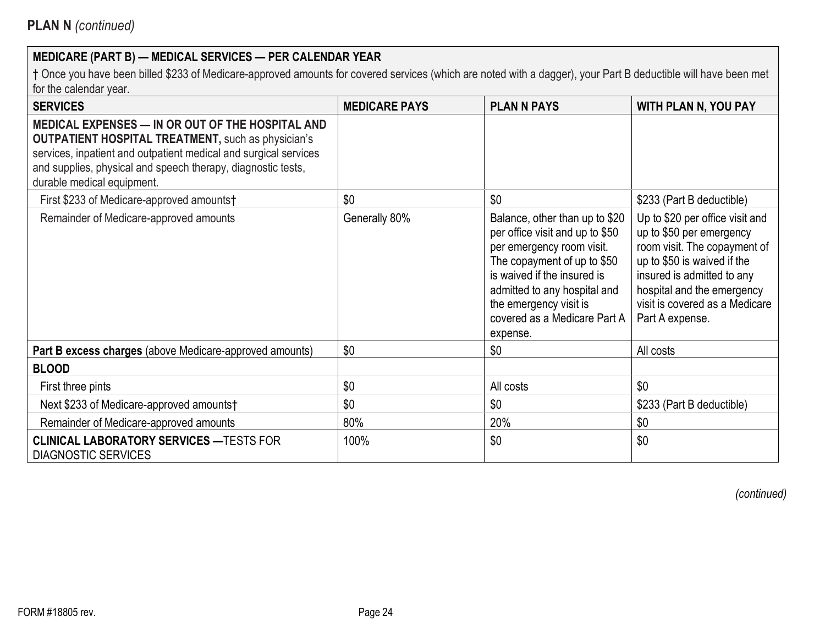† Once you have been billed \$233 of Medicare-approved amounts for covered services (which are noted with a dagger), your Part B deductible will have been met for the calendar year.

| <b>SERVICES</b>                                                                                                                                                                                                                                                                 | <b>MEDICARE PAYS</b> | <b>PLAN N PAYS</b>                                                                                                                                                                                                                                                 | <b>WITH PLAN N, YOU PAY</b>                                                                                                                                                                                                                 |
|---------------------------------------------------------------------------------------------------------------------------------------------------------------------------------------------------------------------------------------------------------------------------------|----------------------|--------------------------------------------------------------------------------------------------------------------------------------------------------------------------------------------------------------------------------------------------------------------|---------------------------------------------------------------------------------------------------------------------------------------------------------------------------------------------------------------------------------------------|
| MEDICAL EXPENSES - IN OR OUT OF THE HOSPITAL AND<br><b>OUTPATIENT HOSPITAL TREATMENT, such as physician's</b><br>services, inpatient and outpatient medical and surgical services<br>and supplies, physical and speech therapy, diagnostic tests,<br>durable medical equipment. |                      |                                                                                                                                                                                                                                                                    |                                                                                                                                                                                                                                             |
| First \$233 of Medicare-approved amounts†                                                                                                                                                                                                                                       | \$0                  | \$0                                                                                                                                                                                                                                                                | \$233 (Part B deductible)                                                                                                                                                                                                                   |
| Remainder of Medicare-approved amounts                                                                                                                                                                                                                                          | Generally 80%        | Balance, other than up to \$20<br>per office visit and up to \$50<br>per emergency room visit.<br>The copayment of up to \$50<br>is waived if the insured is<br>admitted to any hospital and<br>the emergency visit is<br>covered as a Medicare Part A<br>expense. | Up to \$20 per office visit and<br>up to \$50 per emergency<br>room visit. The copayment of<br>up to \$50 is waived if the<br>insured is admitted to any<br>hospital and the emergency<br>visit is covered as a Medicare<br>Part A expense. |
| Part B excess charges (above Medicare-approved amounts)                                                                                                                                                                                                                         | \$0                  | \$0                                                                                                                                                                                                                                                                | All costs                                                                                                                                                                                                                                   |
| <b>BLOOD</b>                                                                                                                                                                                                                                                                    |                      |                                                                                                                                                                                                                                                                    |                                                                                                                                                                                                                                             |
| First three pints                                                                                                                                                                                                                                                               | \$0                  | All costs                                                                                                                                                                                                                                                          | \$0                                                                                                                                                                                                                                         |
| Next \$233 of Medicare-approved amounts†                                                                                                                                                                                                                                        | \$0                  | \$0                                                                                                                                                                                                                                                                | \$233 (Part B deductible)                                                                                                                                                                                                                   |
| Remainder of Medicare-approved amounts                                                                                                                                                                                                                                          | 80%                  | 20%                                                                                                                                                                                                                                                                | \$0                                                                                                                                                                                                                                         |
| <b>CLINICAL LABORATORY SERVICES - TESTS FOR</b><br><b>DIAGNOSTIC SERVICES</b>                                                                                                                                                                                                   | 100%                 | \$0                                                                                                                                                                                                                                                                | \$0                                                                                                                                                                                                                                         |

*(continued)*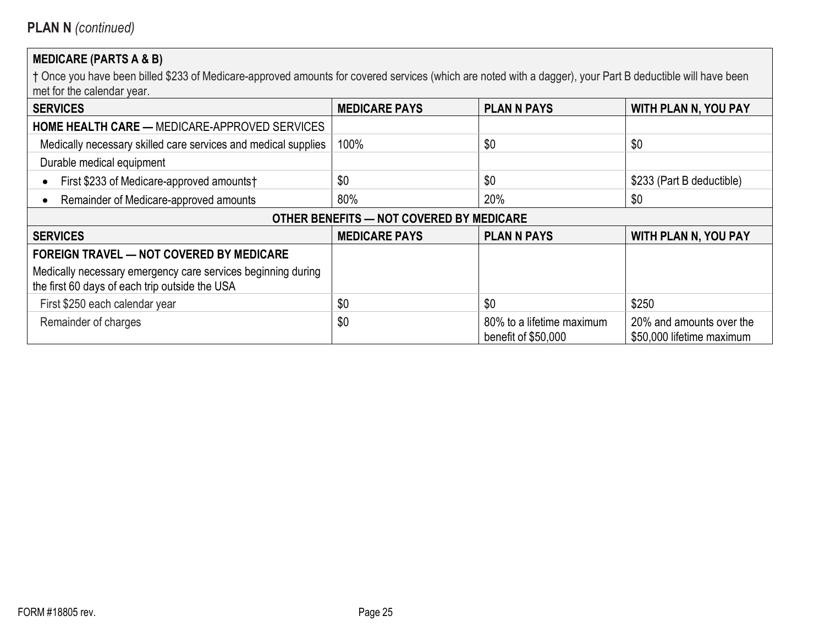# **MEDICARE (PARTS A & B)**

| <b>SERVICES</b>                                                                                                | <b>MEDICARE PAYS</b> | <b>PLAN N PAYS</b>                               | <b>WITH PLAN N, YOU PAY</b>                           |  |  |
|----------------------------------------------------------------------------------------------------------------|----------------------|--------------------------------------------------|-------------------------------------------------------|--|--|
| <b>HOME HEALTH CARE — MEDICARE-APPROVED SERVICES</b>                                                           |                      |                                                  |                                                       |  |  |
| Medically necessary skilled care services and medical supplies                                                 | 100%                 | \$0                                              | \$0                                                   |  |  |
| Durable medical equipment                                                                                      |                      |                                                  |                                                       |  |  |
| First \$233 of Medicare-approved amounts†                                                                      | \$0                  | \$0                                              | \$233 (Part B deductible)                             |  |  |
| Remainder of Medicare-approved amounts                                                                         | 80%                  | 20%                                              | \$0                                                   |  |  |
| OTHER BENEFITS - NOT COVERED BY MEDICARE                                                                       |                      |                                                  |                                                       |  |  |
| <b>SERVICES</b>                                                                                                | <b>MEDICARE PAYS</b> | <b>PLAN N PAYS</b>                               | <b>WITH PLAN N, YOU PAY</b>                           |  |  |
| <b>FOREIGN TRAVEL - NOT COVERED BY MEDICARE</b>                                                                |                      |                                                  |                                                       |  |  |
| Medically necessary emergency care services beginning during<br>the first 60 days of each trip outside the USA |                      |                                                  |                                                       |  |  |
| First \$250 each calendar year                                                                                 | \$0                  | \$0                                              | \$250                                                 |  |  |
| Remainder of charges                                                                                           | \$0                  | 80% to a lifetime maximum<br>benefit of \$50,000 | 20% and amounts over the<br>\$50,000 lifetime maximum |  |  |